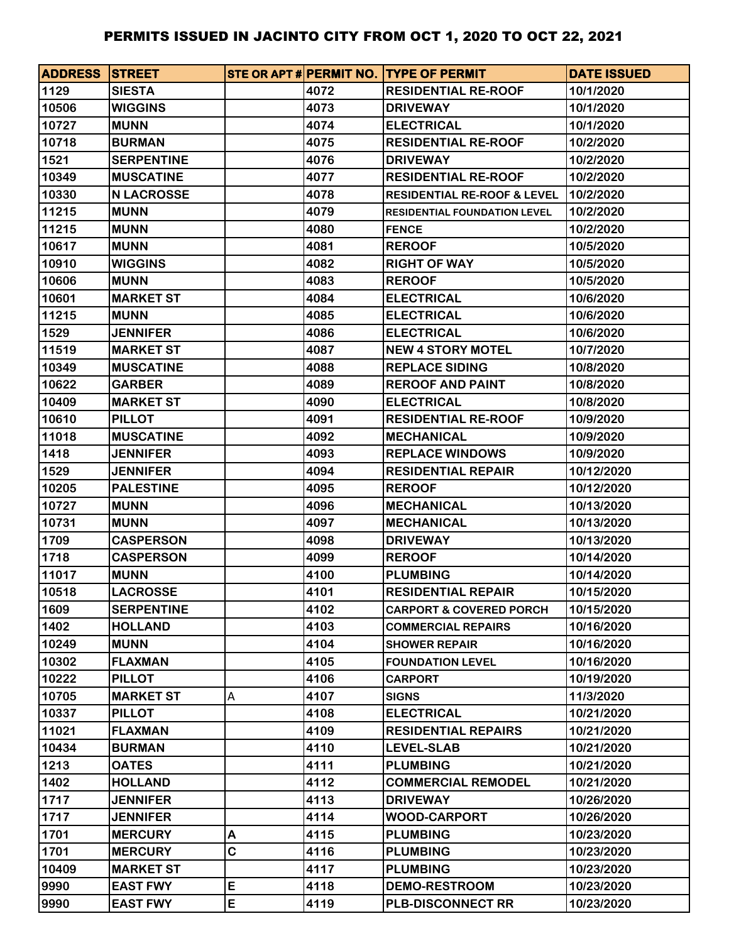| <b>ADDRESS STREET</b> |                   |   |      | STE OR APT # PERMIT NO. TYPE OF PERMIT | <b>DATE ISSUED</b> |
|-----------------------|-------------------|---|------|----------------------------------------|--------------------|
| 1129                  | <b>SIESTA</b>     |   | 4072 | <b>RESIDENTIAL RE-ROOF</b>             | 10/1/2020          |
| 10506                 | <b>WIGGINS</b>    |   | 4073 | <b>DRIVEWAY</b>                        | 10/1/2020          |
| 10727                 | <b>MUNN</b>       |   | 4074 | <b>ELECTRICAL</b>                      | 10/1/2020          |
| 10718                 | <b>BURMAN</b>     |   | 4075 | <b>RESIDENTIAL RE-ROOF</b>             | 10/2/2020          |
| 1521                  | <b>SERPENTINE</b> |   | 4076 | <b>DRIVEWAY</b>                        | 10/2/2020          |
| 10349                 | <b>MUSCATINE</b>  |   | 4077 | <b>RESIDENTIAL RE-ROOF</b>             | 10/2/2020          |
| 10330                 | <b>N LACROSSE</b> |   | 4078 | <b>RESIDENTIAL RE-ROOF &amp; LEVEL</b> | 10/2/2020          |
| 11215                 | <b>MUNN</b>       |   | 4079 | <b>RESIDENTIAL FOUNDATION LEVEL</b>    | 10/2/2020          |
| 11215                 | <b>MUNN</b>       |   | 4080 | <b>FENCE</b>                           | 10/2/2020          |
| 10617                 | <b>MUNN</b>       |   | 4081 | <b>REROOF</b>                          | 10/5/2020          |
| 10910                 | <b>WIGGINS</b>    |   | 4082 | <b>RIGHT OF WAY</b>                    | 10/5/2020          |
| 10606                 | <b>MUNN</b>       |   | 4083 | <b>REROOF</b>                          | 10/5/2020          |
| 10601                 | <b>MARKET ST</b>  |   | 4084 | <b>ELECTRICAL</b>                      | 10/6/2020          |
| 11215                 | <b>MUNN</b>       |   | 4085 | <b>ELECTRICAL</b>                      | 10/6/2020          |
| 1529                  | <b>JENNIFER</b>   |   | 4086 | <b>ELECTRICAL</b>                      | 10/6/2020          |
| 11519                 | <b>MARKET ST</b>  |   | 4087 | <b>NEW 4 STORY MOTEL</b>               | 10/7/2020          |
| 10349                 | <b>MUSCATINE</b>  |   | 4088 | <b>REPLACE SIDING</b>                  | 10/8/2020          |
| 10622                 | <b>GARBER</b>     |   | 4089 | <b>REROOF AND PAINT</b>                | 10/8/2020          |
| 10409                 | <b>MARKET ST</b>  |   | 4090 | <b>ELECTRICAL</b>                      | 10/8/2020          |
| 10610                 | <b>PILLOT</b>     |   | 4091 | <b>RESIDENTIAL RE-ROOF</b>             | 10/9/2020          |
| 11018                 | <b>MUSCATINE</b>  |   | 4092 | <b>MECHANICAL</b>                      | 10/9/2020          |
| 1418                  | <b>JENNIFER</b>   |   | 4093 | <b>REPLACE WINDOWS</b>                 | 10/9/2020          |
| 1529                  | <b>JENNIFER</b>   |   | 4094 | <b>RESIDENTIAL REPAIR</b>              | 10/12/2020         |
| 10205                 | <b>PALESTINE</b>  |   | 4095 | <b>REROOF</b>                          | 10/12/2020         |
| 10727                 | <b>MUNN</b>       |   | 4096 | <b>MECHANICAL</b>                      | 10/13/2020         |
| 10731                 | <b>MUNN</b>       |   | 4097 | <b>MECHANICAL</b>                      | 10/13/2020         |
| 1709                  | <b>CASPERSON</b>  |   | 4098 | <b>DRIVEWAY</b>                        | 10/13/2020         |
| 1718                  | <b>CASPERSON</b>  |   | 4099 | <b>REROOF</b>                          | 10/14/2020         |
| 11017                 | <b>MUNN</b>       |   | 4100 | <b>PLUMBING</b>                        | 10/14/2020         |
| 10518                 | <b>LACROSSE</b>   |   | 4101 | <b>RESIDENTIAL REPAIR</b>              | 10/15/2020         |
| 1609                  | <b>SERPENTINE</b> |   | 4102 | <b>CARPORT &amp; COVERED PORCH</b>     | 10/15/2020         |
| 1402                  | <b>HOLLAND</b>    |   | 4103 | <b>COMMERCIAL REPAIRS</b>              | 10/16/2020         |
| 10249                 | <b>MUNN</b>       |   | 4104 | <b>SHOWER REPAIR</b>                   | 10/16/2020         |
| 10302                 | <b>FLAXMAN</b>    |   | 4105 | <b>FOUNDATION LEVEL</b>                | 10/16/2020         |
| 10222                 | <b>PILLOT</b>     |   | 4106 | <b>CARPORT</b>                         | 10/19/2020         |
| 10705                 | <b>MARKET ST</b>  | А | 4107 | <b>SIGNS</b>                           | 11/3/2020          |
| 10337                 | <b>PILLOT</b>     |   | 4108 | <b>ELECTRICAL</b>                      | 10/21/2020         |
| 11021                 | <b>FLAXMAN</b>    |   | 4109 | <b>RESIDENTIAL REPAIRS</b>             | 10/21/2020         |
| 10434                 | <b>BURMAN</b>     |   | 4110 | <b>LEVEL-SLAB</b>                      | 10/21/2020         |
| 1213                  | <b>OATES</b>      |   | 4111 | <b>PLUMBING</b>                        | 10/21/2020         |
| 1402                  | <b>HOLLAND</b>    |   | 4112 | <b>COMMERCIAL REMODEL</b>              | 10/21/2020         |
| 1717                  | <b>JENNIFER</b>   |   | 4113 | <b>DRIVEWAY</b>                        | 10/26/2020         |
| 1717                  | <b>JENNIFER</b>   |   | 4114 | <b>WOOD-CARPORT</b>                    | 10/26/2020         |
| 1701                  | <b>MERCURY</b>    | Α | 4115 | <b>PLUMBING</b>                        | 10/23/2020         |
| 1701                  | <b>MERCURY</b>    | C | 4116 | <b>PLUMBING</b>                        | 10/23/2020         |
| 10409                 | <b>MARKET ST</b>  |   | 4117 | <b>PLUMBING</b>                        | 10/23/2020         |
| 9990                  | <b>EAST FWY</b>   | E | 4118 | <b>DEMO-RESTROOM</b>                   | 10/23/2020         |
| 9990                  | <b>EAST FWY</b>   | E | 4119 | <b>PLB-DISCONNECT RR</b>               | 10/23/2020         |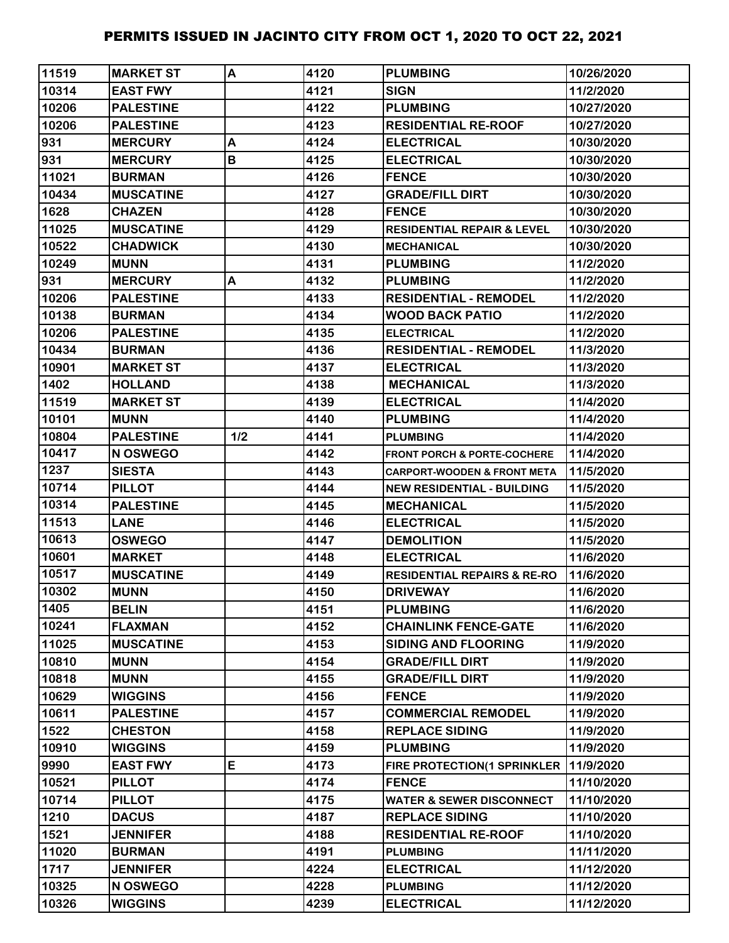| 11519 | <b>MARKET ST</b> | A   | 4120 | <b>PLUMBING</b>                        | 10/26/2020 |
|-------|------------------|-----|------|----------------------------------------|------------|
| 10314 | <b>EAST FWY</b>  |     | 4121 | <b>SIGN</b>                            | 11/2/2020  |
| 10206 | <b>PALESTINE</b> |     | 4122 | <b>PLUMBING</b>                        | 10/27/2020 |
| 10206 | <b>PALESTINE</b> |     | 4123 | <b>RESIDENTIAL RE-ROOF</b>             | 10/27/2020 |
| 931   | <b>MERCURY</b>   | A   | 4124 | <b>ELECTRICAL</b>                      | 10/30/2020 |
| 931   | <b>MERCURY</b>   | B   | 4125 | <b>ELECTRICAL</b>                      | 10/30/2020 |
| 11021 | <b>BURMAN</b>    |     | 4126 | <b>FENCE</b>                           | 10/30/2020 |
| 10434 | <b>MUSCATINE</b> |     | 4127 | <b>GRADE/FILL DIRT</b>                 | 10/30/2020 |
| 1628  | <b>CHAZEN</b>    |     | 4128 | <b>FENCE</b>                           | 10/30/2020 |
| 11025 | <b>MUSCATINE</b> |     | 4129 | <b>RESIDENTIAL REPAIR &amp; LEVEL</b>  | 10/30/2020 |
| 10522 | <b>CHADWICK</b>  |     | 4130 | <b>MECHANICAL</b>                      | 10/30/2020 |
| 10249 | <b>MUNN</b>      |     | 4131 | <b>PLUMBING</b>                        | 11/2/2020  |
| 931   | <b>MERCURY</b>   | A   | 4132 | <b>PLUMBING</b>                        | 11/2/2020  |
| 10206 | <b>PALESTINE</b> |     | 4133 | <b>RESIDENTIAL - REMODEL</b>           | 11/2/2020  |
| 10138 | <b>BURMAN</b>    |     | 4134 | <b>WOOD BACK PATIO</b>                 | 11/2/2020  |
| 10206 | <b>PALESTINE</b> |     | 4135 | <b>ELECTRICAL</b>                      | 11/2/2020  |
| 10434 | <b>BURMAN</b>    |     | 4136 | <b>RESIDENTIAL - REMODEL</b>           | 11/3/2020  |
| 10901 | <b>MARKET ST</b> |     | 4137 | <b>ELECTRICAL</b>                      | 11/3/2020  |
| 1402  | <b>HOLLAND</b>   |     | 4138 | <b>MECHANICAL</b>                      | 11/3/2020  |
| 11519 | <b>MARKET ST</b> |     | 4139 | <b>ELECTRICAL</b>                      | 11/4/2020  |
| 10101 | <b>MUNN</b>      |     | 4140 | <b>PLUMBING</b>                        | 11/4/2020  |
| 10804 | <b>PALESTINE</b> | 1/2 | 4141 | <b>PLUMBING</b>                        | 11/4/2020  |
| 10417 | N OSWEGO         |     | 4142 | <b>FRONT PORCH &amp; PORTE-COCHERE</b> | 11/4/2020  |
| 1237  | <b>SIESTA</b>    |     | 4143 | <b>CARPORT-WOODEN &amp; FRONT META</b> | 11/5/2020  |
| 10714 | <b>PILLOT</b>    |     | 4144 | <b>NEW RESIDENTIAL - BUILDING</b>      | 11/5/2020  |
| 10314 | <b>PALESTINE</b> |     | 4145 | <b>MECHANICAL</b>                      | 11/5/2020  |
| 11513 | <b>LANE</b>      |     | 4146 | <b>ELECTRICAL</b>                      | 11/5/2020  |
| 10613 | <b>OSWEGO</b>    |     | 4147 | <b>DEMOLITION</b>                      | 11/5/2020  |
| 10601 | <b>MARKET</b>    |     | 4148 | <b>ELECTRICAL</b>                      | 11/6/2020  |
| 10517 | <b>MUSCATINE</b> |     | 4149 | <b>RESIDENTIAL REPAIRS &amp; RE-RO</b> | 11/6/2020  |
| 10302 | <b>MUNN</b>      |     | 4150 | <b>DRIVEWAY</b>                        | 11/6/2020  |
| 1405  | <b>BELIN</b>     |     | 4151 | <b>PLUMBING</b>                        | 11/6/2020  |
| 10241 | <b>FLAXMAN</b>   |     | 4152 | <b>CHAINLINK FENCE-GATE</b>            | 11/6/2020  |
| 11025 | <b>MUSCATINE</b> |     | 4153 | <b>SIDING AND FLOORING</b>             | 11/9/2020  |
| 10810 | <b>MUNN</b>      |     | 4154 | <b>GRADE/FILL DIRT</b>                 | 11/9/2020  |
| 10818 | <b>MUNN</b>      |     | 4155 | <b>GRADE/FILL DIRT</b>                 | 11/9/2020  |
| 10629 | <b>WIGGINS</b>   |     | 4156 | <b>FENCE</b>                           | 11/9/2020  |
| 10611 | <b>PALESTINE</b> |     | 4157 | <b>COMMERCIAL REMODEL</b>              | 11/9/2020  |
| 1522  | <b>CHESTON</b>   |     | 4158 | <b>REPLACE SIDING</b>                  | 11/9/2020  |
| 10910 | <b>WIGGINS</b>   |     | 4159 | <b>PLUMBING</b>                        | 11/9/2020  |
| 9990  | <b>EAST FWY</b>  | E   | 4173 | FIRE PROTECTION(1 SPRINKLER            | 11/9/2020  |
| 10521 | <b>PILLOT</b>    |     | 4174 | <b>FENCE</b>                           | 11/10/2020 |
| 10714 | <b>PILLOT</b>    |     | 4175 | <b>WATER &amp; SEWER DISCONNECT</b>    | 11/10/2020 |
| 1210  | <b>DACUS</b>     |     | 4187 | <b>REPLACE SIDING</b>                  | 11/10/2020 |
| 1521  | <b>JENNIFER</b>  |     | 4188 | <b>RESIDENTIAL RE-ROOF</b>             | 11/10/2020 |
| 11020 | <b>BURMAN</b>    |     | 4191 | <b>PLUMBING</b>                        | 11/11/2020 |
| 1717  | <b>JENNIFER</b>  |     | 4224 | <b>ELECTRICAL</b>                      | 11/12/2020 |
| 10325 | N OSWEGO         |     | 4228 | <b>PLUMBING</b>                        | 11/12/2020 |
| 10326 | <b>WIGGINS</b>   |     | 4239 | <b>ELECTRICAL</b>                      | 11/12/2020 |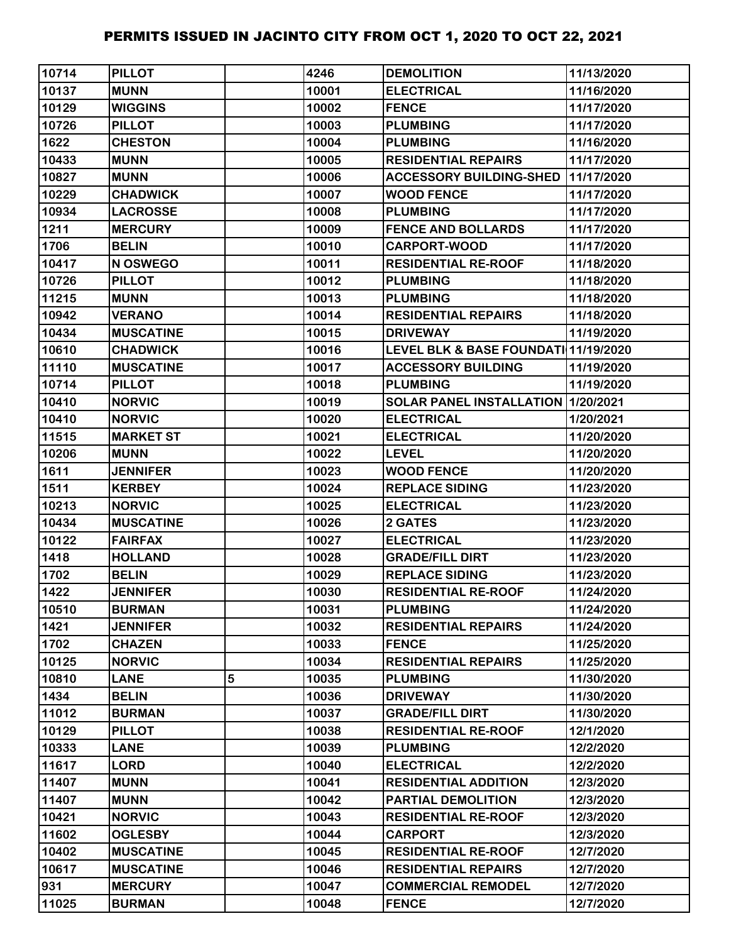| 10714 | <b>PILLOT</b>    |   | 4246  | <b>DEMOLITION</b>                    | 11/13/2020 |
|-------|------------------|---|-------|--------------------------------------|------------|
| 10137 | <b>MUNN</b>      |   | 10001 | <b>ELECTRICAL</b>                    | 11/16/2020 |
| 10129 | <b>WIGGINS</b>   |   | 10002 | <b>FENCE</b>                         | 11/17/2020 |
| 10726 | <b>PILLOT</b>    |   | 10003 | <b>PLUMBING</b>                      | 11/17/2020 |
| 1622  | <b>CHESTON</b>   |   | 10004 | <b>PLUMBING</b>                      | 11/16/2020 |
| 10433 | <b>MUNN</b>      |   | 10005 | <b>RESIDENTIAL REPAIRS</b>           | 11/17/2020 |
| 10827 | <b>MUNN</b>      |   | 10006 | <b>ACCESSORY BUILDING-SHED</b>       | 11/17/2020 |
| 10229 | <b>CHADWICK</b>  |   | 10007 | <b>WOOD FENCE</b>                    | 11/17/2020 |
| 10934 | <b>LACROSSE</b>  |   | 10008 | <b>PLUMBING</b>                      | 11/17/2020 |
| 1211  | <b>MERCURY</b>   |   | 10009 | <b>FENCE AND BOLLARDS</b>            | 11/17/2020 |
| 1706  | <b>BELIN</b>     |   | 10010 | <b>CARPORT-WOOD</b>                  | 11/17/2020 |
| 10417 | N OSWEGO         |   | 10011 | <b>RESIDENTIAL RE-ROOF</b>           | 11/18/2020 |
| 10726 | <b>PILLOT</b>    |   | 10012 | <b>PLUMBING</b>                      | 11/18/2020 |
| 11215 | <b>MUNN</b>      |   | 10013 | <b>PLUMBING</b>                      | 11/18/2020 |
| 10942 | <b>VERANO</b>    |   | 10014 | <b>RESIDENTIAL REPAIRS</b>           | 11/18/2020 |
| 10434 | <b>MUSCATINE</b> |   | 10015 | <b>DRIVEWAY</b>                      | 11/19/2020 |
| 10610 | <b>CHADWICK</b>  |   | 10016 | LEVEL BLK & BASE FOUNDATI 11/19/2020 |            |
| 11110 | <b>MUSCATINE</b> |   | 10017 | <b>ACCESSORY BUILDING</b>            | 11/19/2020 |
| 10714 | <b>PILLOT</b>    |   | 10018 | <b>PLUMBING</b>                      | 11/19/2020 |
| 10410 | <b>NORVIC</b>    |   | 10019 | SOLAR PANEL INSTALLATION   1/20/2021 |            |
| 10410 | <b>NORVIC</b>    |   | 10020 | <b>ELECTRICAL</b>                    | 1/20/2021  |
| 11515 | <b>MARKET ST</b> |   | 10021 | <b>ELECTRICAL</b>                    | 11/20/2020 |
| 10206 | <b>MUNN</b>      |   | 10022 | <b>LEVEL</b>                         | 11/20/2020 |
| 1611  | <b>JENNIFER</b>  |   | 10023 | <b>WOOD FENCE</b>                    | 11/20/2020 |
| 1511  | <b>KERBEY</b>    |   | 10024 | <b>REPLACE SIDING</b>                | 11/23/2020 |
| 10213 | <b>NORVIC</b>    |   | 10025 | <b>ELECTRICAL</b>                    | 11/23/2020 |
| 10434 | <b>MUSCATINE</b> |   | 10026 | 2 GATES                              | 11/23/2020 |
| 10122 | <b>FAIRFAX</b>   |   | 10027 | <b>ELECTRICAL</b>                    | 11/23/2020 |
| 1418  | <b>HOLLAND</b>   |   | 10028 | <b>GRADE/FILL DIRT</b>               | 11/23/2020 |
| 1702  | <b>BELIN</b>     |   | 10029 | <b>REPLACE SIDING</b>                | 11/23/2020 |
| 1422  | <b>JENNIFER</b>  |   | 10030 | <b>RESIDENTIAL RE-ROOF</b>           | 11/24/2020 |
| 10510 | <b>BURMAN</b>    |   | 10031 | <b>PLUMBING</b>                      | 11/24/2020 |
| 1421  | <b>JENNIFER</b>  |   | 10032 | <b>RESIDENTIAL REPAIRS</b>           | 11/24/2020 |
| 1702  | <b>CHAZEN</b>    |   | 10033 | <b>FENCE</b>                         | 11/25/2020 |
| 10125 | <b>NORVIC</b>    |   | 10034 | <b>RESIDENTIAL REPAIRS</b>           | 11/25/2020 |
| 10810 | <b>LANE</b>      | 5 | 10035 | <b>PLUMBING</b>                      | 11/30/2020 |
| 1434  | <b>BELIN</b>     |   | 10036 | <b>DRIVEWAY</b>                      | 11/30/2020 |
| 11012 | <b>BURMAN</b>    |   | 10037 | <b>GRADE/FILL DIRT</b>               | 11/30/2020 |
| 10129 | <b>PILLOT</b>    |   | 10038 | <b>RESIDENTIAL RE-ROOF</b>           | 12/1/2020  |
| 10333 | <b>LANE</b>      |   | 10039 | <b>PLUMBING</b>                      | 12/2/2020  |
| 11617 | <b>LORD</b>      |   | 10040 | <b>ELECTRICAL</b>                    | 12/2/2020  |
| 11407 | <b>MUNN</b>      |   | 10041 | <b>RESIDENTIAL ADDITION</b>          | 12/3/2020  |
| 11407 | <b>MUNN</b>      |   | 10042 | PARTIAL DEMOLITION                   | 12/3/2020  |
| 10421 | <b>NORVIC</b>    |   | 10043 | <b>RESIDENTIAL RE-ROOF</b>           | 12/3/2020  |
| 11602 | <b>OGLESBY</b>   |   | 10044 | <b>CARPORT</b>                       | 12/3/2020  |
| 10402 | <b>MUSCATINE</b> |   | 10045 | <b>RESIDENTIAL RE-ROOF</b>           | 12/7/2020  |
| 10617 | <b>MUSCATINE</b> |   | 10046 | <b>RESIDENTIAL REPAIRS</b>           | 12/7/2020  |
| 931   | <b>MERCURY</b>   |   | 10047 | <b>COMMERCIAL REMODEL</b>            | 12/7/2020  |
| 11025 | <b>BURMAN</b>    |   | 10048 | <b>FENCE</b>                         | 12/7/2020  |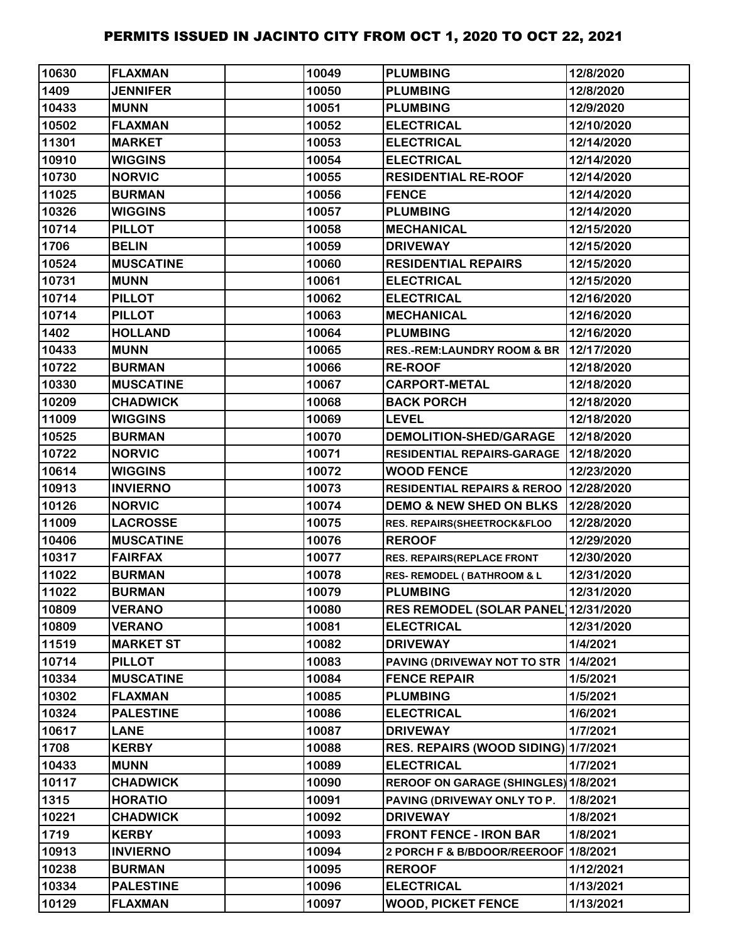| 10630 | <b>FLAXMAN</b>   | 10049 | <b>PLUMBING</b>                          | 12/8/2020  |
|-------|------------------|-------|------------------------------------------|------------|
| 1409  | <b>JENNIFER</b>  | 10050 | <b>PLUMBING</b>                          | 12/8/2020  |
| 10433 | <b>MUNN</b>      | 10051 | <b>PLUMBING</b>                          | 12/9/2020  |
| 10502 | <b>FLAXMAN</b>   | 10052 | <b>ELECTRICAL</b>                        | 12/10/2020 |
| 11301 | <b>MARKET</b>    | 10053 | <b>ELECTRICAL</b>                        | 12/14/2020 |
| 10910 | <b>WIGGINS</b>   | 10054 | <b>ELECTRICAL</b>                        | 12/14/2020 |
| 10730 | <b>NORVIC</b>    | 10055 | <b>RESIDENTIAL RE-ROOF</b>               | 12/14/2020 |
| 11025 | <b>BURMAN</b>    | 10056 | <b>FENCE</b>                             | 12/14/2020 |
| 10326 | <b>WIGGINS</b>   | 10057 | <b>PLUMBING</b>                          | 12/14/2020 |
| 10714 | <b>PILLOT</b>    | 10058 | <b>MECHANICAL</b>                        | 12/15/2020 |
| 1706  | <b>BELIN</b>     | 10059 | <b>DRIVEWAY</b>                          | 12/15/2020 |
| 10524 | <b>MUSCATINE</b> | 10060 | <b>RESIDENTIAL REPAIRS</b>               | 12/15/2020 |
| 10731 | <b>MUNN</b>      | 10061 | <b>ELECTRICAL</b>                        | 12/15/2020 |
| 10714 | <b>PILLOT</b>    | 10062 | <b>ELECTRICAL</b>                        | 12/16/2020 |
| 10714 | <b>PILLOT</b>    | 10063 | <b>MECHANICAL</b>                        | 12/16/2020 |
| 1402  | <b>HOLLAND</b>   | 10064 | <b>PLUMBING</b>                          | 12/16/2020 |
| 10433 | <b>MUNN</b>      | 10065 | <b>RES.-REM:LAUNDRY ROOM &amp; BR</b>    | 12/17/2020 |
| 10722 | <b>BURMAN</b>    | 10066 | <b>RE-ROOF</b>                           | 12/18/2020 |
| 10330 | <b>MUSCATINE</b> | 10067 | <b>CARPORT-METAL</b>                     | 12/18/2020 |
| 10209 | <b>CHADWICK</b>  | 10068 | <b>BACK PORCH</b>                        | 12/18/2020 |
| 11009 | <b>WIGGINS</b>   | 10069 | <b>LEVEL</b>                             | 12/18/2020 |
| 10525 | <b>BURMAN</b>    | 10070 | <b>DEMOLITION-SHED/GARAGE</b>            | 12/18/2020 |
| 10722 | <b>NORVIC</b>    | 10071 | RESIDENTIAL REPAIRS-GARAGE   12/18/2020  |            |
| 10614 | <b>WIGGINS</b>   | 10072 | <b>WOOD FENCE</b>                        | 12/23/2020 |
| 10913 | <b>INVIERNO</b>  | 10073 | RESIDENTIAL REPAIRS & REROO   12/28/2020 |            |
| 10126 | <b>NORVIC</b>    | 10074 | <b>DEMO &amp; NEW SHED ON BLKS</b>       | 12/28/2020 |
| 11009 | <b>LACROSSE</b>  | 10075 | RES. REPAIRS(SHEETROCK&FLOO              | 12/28/2020 |
| 10406 | <b>MUSCATINE</b> | 10076 | <b>REROOF</b>                            | 12/29/2020 |
| 10317 | <b>FAIRFAX</b>   | 10077 | <b>RES. REPAIRS(REPLACE FRONT</b>        | 12/30/2020 |
| 11022 | <b>BURMAN</b>    | 10078 | <b>RES- REMODEL (BATHROOM &amp; L</b>    | 12/31/2020 |
| 11022 | <b>BURMAN</b>    | 10079 | <b>PLUMBING</b>                          | 12/31/2020 |
| 10809 | <b>VERANO</b>    | 10080 | <b>RES REMODEL (SOLAR PANEL)</b>         | 12/31/2020 |
| 10809 | <b>VERANO</b>    | 10081 | <b>ELECTRICAL</b>                        | 12/31/2020 |
| 11519 | <b>MARKET ST</b> | 10082 | <b>DRIVEWAY</b>                          | 1/4/2021   |
| 10714 | <b>PILLOT</b>    | 10083 | PAVING (DRIVEWAY NOT TO STR              | 1/4/2021   |
| 10334 | <b>MUSCATINE</b> | 10084 | <b>FENCE REPAIR</b>                      | 1/5/2021   |
| 10302 | <b>FLAXMAN</b>   | 10085 | <b>PLUMBING</b>                          | 1/5/2021   |
| 10324 | <b>PALESTINE</b> | 10086 | <b>ELECTRICAL</b>                        | 1/6/2021   |
| 10617 | <b>LANE</b>      | 10087 | <b>DRIVEWAY</b>                          | 1/7/2021   |
| 1708  | <b>KERBY</b>     | 10088 | RES. REPAIRS (WOOD SIDING) 1/7/2021      |            |
| 10433 | <b>MUNN</b>      | 10089 | <b>ELECTRICAL</b>                        | 1/7/2021   |
| 10117 | <b>CHADWICK</b>  | 10090 | REROOF ON GARAGE (SHINGLES) 1/8/2021     |            |
| 1315  | <b>HORATIO</b>   | 10091 | PAVING (DRIVEWAY ONLY TO P.              | 1/8/2021   |
| 10221 | <b>CHADWICK</b>  | 10092 | <b>DRIVEWAY</b>                          | 1/8/2021   |
| 1719  | <b>KERBY</b>     | 10093 | <b>FRONT FENCE - IRON BAR</b>            | 1/8/2021   |
| 10913 | <b>INVIERNO</b>  | 10094 | 2 PORCH F & B/BDOOR/REEROOF 1/8/2021     |            |
| 10238 | <b>BURMAN</b>    | 10095 | <b>REROOF</b>                            | 1/12/2021  |
| 10334 | <b>PALESTINE</b> | 10096 | <b>ELECTRICAL</b>                        | 1/13/2021  |
| 10129 | <b>FLAXMAN</b>   | 10097 | <b>WOOD, PICKET FENCE</b>                | 1/13/2021  |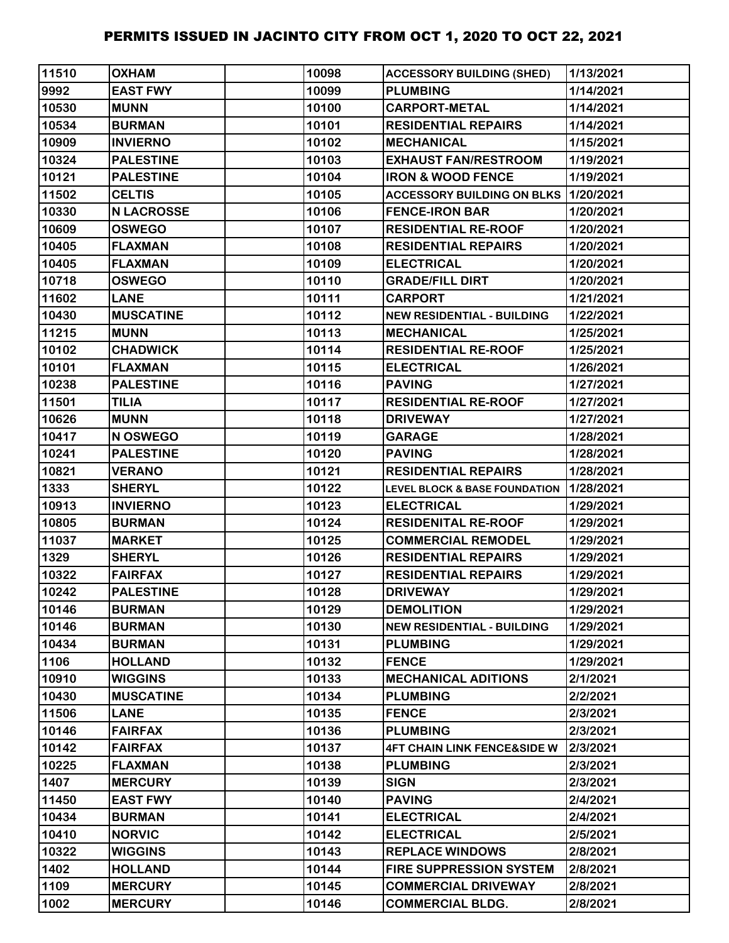| 11510 | <b>OXHAM</b>      | 10098 | <b>ACCESSORY BUILDING (SHED)</b>            | 1/13/2021 |
|-------|-------------------|-------|---------------------------------------------|-----------|
| 9992  | <b>EAST FWY</b>   | 10099 | <b>PLUMBING</b>                             | 1/14/2021 |
| 10530 | <b>MUNN</b>       | 10100 | <b>CARPORT-METAL</b>                        | 1/14/2021 |
| 10534 | <b>BURMAN</b>     | 10101 | <b>RESIDENTIAL REPAIRS</b>                  | 1/14/2021 |
| 10909 | <b>INVIERNO</b>   | 10102 | <b>MECHANICAL</b>                           | 1/15/2021 |
| 10324 | <b>PALESTINE</b>  | 10103 | <b>EXHAUST FAN/RESTROOM</b>                 | 1/19/2021 |
| 10121 | <b>PALESTINE</b>  | 10104 | <b>IRON &amp; WOOD FENCE</b>                | 1/19/2021 |
| 11502 | <b>CELTIS</b>     | 10105 | <b>ACCESSORY BUILDING ON BLKS 1/20/2021</b> |           |
| 10330 | <b>N LACROSSE</b> | 10106 | <b>FENCE-IRON BAR</b>                       | 1/20/2021 |
| 10609 | <b>OSWEGO</b>     | 10107 | <b>RESIDENTIAL RE-ROOF</b>                  | 1/20/2021 |
| 10405 | <b>FLAXMAN</b>    | 10108 | <b>RESIDENTIAL REPAIRS</b>                  | 1/20/2021 |
| 10405 | <b>FLAXMAN</b>    | 10109 | <b>ELECTRICAL</b>                           | 1/20/2021 |
| 10718 | <b>OSWEGO</b>     | 10110 | <b>GRADE/FILL DIRT</b>                      | 1/20/2021 |
| 11602 | <b>LANE</b>       | 10111 | <b>CARPORT</b>                              | 1/21/2021 |
| 10430 | <b>MUSCATINE</b>  | 10112 | <b>NEW RESIDENTIAL - BUILDING</b>           | 1/22/2021 |
| 11215 | <b>MUNN</b>       | 10113 | <b>MECHANICAL</b>                           | 1/25/2021 |
| 10102 | <b>CHADWICK</b>   | 10114 | <b>RESIDENTIAL RE-ROOF</b>                  | 1/25/2021 |
| 10101 | <b>FLAXMAN</b>    | 10115 | <b>ELECTRICAL</b>                           | 1/26/2021 |
| 10238 | <b>PALESTINE</b>  | 10116 | <b>PAVING</b>                               | 1/27/2021 |
| 11501 | <b>TILIA</b>      | 10117 | <b>RESIDENTIAL RE-ROOF</b>                  | 1/27/2021 |
| 10626 | <b>MUNN</b>       | 10118 | <b>DRIVEWAY</b>                             | 1/27/2021 |
| 10417 | N OSWEGO          | 10119 | <b>GARAGE</b>                               | 1/28/2021 |
| 10241 | <b>PALESTINE</b>  | 10120 | <b>PAVING</b>                               | 1/28/2021 |
| 10821 | <b>VERANO</b>     | 10121 | <b>RESIDENTIAL REPAIRS</b>                  | 1/28/2021 |
| 1333  | <b>SHERYL</b>     | 10122 | <b>LEVEL BLOCK &amp; BASE FOUNDATION</b>    | 1/28/2021 |
| 10913 | <b>INVIERNO</b>   | 10123 | <b>ELECTRICAL</b>                           | 1/29/2021 |
| 10805 | <b>BURMAN</b>     | 10124 | <b>RESIDENITAL RE-ROOF</b>                  | 1/29/2021 |
| 11037 | <b>MARKET</b>     | 10125 | <b>COMMERCIAL REMODEL</b>                   | 1/29/2021 |
| 1329  | <b>SHERYL</b>     | 10126 | <b>RESIDENTIAL REPAIRS</b>                  | 1/29/2021 |
| 10322 | <b>FAIRFAX</b>    | 10127 | <b>RESIDENTIAL REPAIRS</b>                  | 1/29/2021 |
| 10242 | <b>PALESTINE</b>  | 10128 | <b>DRIVEWAY</b>                             | 1/29/2021 |
| 10146 | <b>BURMAN</b>     | 10129 | <b>DEMOLITION</b>                           | 1/29/2021 |
| 10146 | <b>BURMAN</b>     | 10130 | <b>NEW RESIDENTIAL - BUILDING</b>           | 1/29/2021 |
| 10434 | <b>BURMAN</b>     | 10131 | <b>PLUMBING</b>                             | 1/29/2021 |
| 1106  | <b>HOLLAND</b>    | 10132 | <b>FENCE</b>                                | 1/29/2021 |
| 10910 | <b>WIGGINS</b>    | 10133 | <b>MECHANICAL ADITIONS</b>                  | 2/1/2021  |
| 10430 | <b>MUSCATINE</b>  | 10134 | <b>PLUMBING</b>                             | 2/2/2021  |
| 11506 | <b>LANE</b>       | 10135 | <b>FENCE</b>                                | 2/3/2021  |
| 10146 | <b>FAIRFAX</b>    | 10136 | <b>PLUMBING</b>                             | 2/3/2021  |
| 10142 | <b>FAIRFAX</b>    | 10137 | <b>4FT CHAIN LINK FENCE&amp;SIDE W</b>      | 2/3/2021  |
| 10225 | <b>FLAXMAN</b>    | 10138 | <b>PLUMBING</b>                             | 2/3/2021  |
| 1407  | <b>MERCURY</b>    | 10139 | <b>SIGN</b>                                 | 2/3/2021  |
| 11450 | <b>EAST FWY</b>   | 10140 | <b>PAVING</b>                               | 2/4/2021  |
| 10434 | <b>BURMAN</b>     | 10141 | <b>ELECTRICAL</b>                           | 2/4/2021  |
| 10410 | <b>NORVIC</b>     | 10142 | <b>ELECTRICAL</b>                           | 2/5/2021  |
| 10322 | <b>WIGGINS</b>    | 10143 | <b>REPLACE WINDOWS</b>                      | 2/8/2021  |
| 1402  | <b>HOLLAND</b>    | 10144 | <b>FIRE SUPPRESSION SYSTEM</b>              | 2/8/2021  |
| 1109  | <b>MERCURY</b>    | 10145 | <b>COMMERCIAL DRIVEWAY</b>                  | 2/8/2021  |
| 1002  | <b>MERCURY</b>    | 10146 | <b>COMMERCIAL BLDG.</b>                     | 2/8/2021  |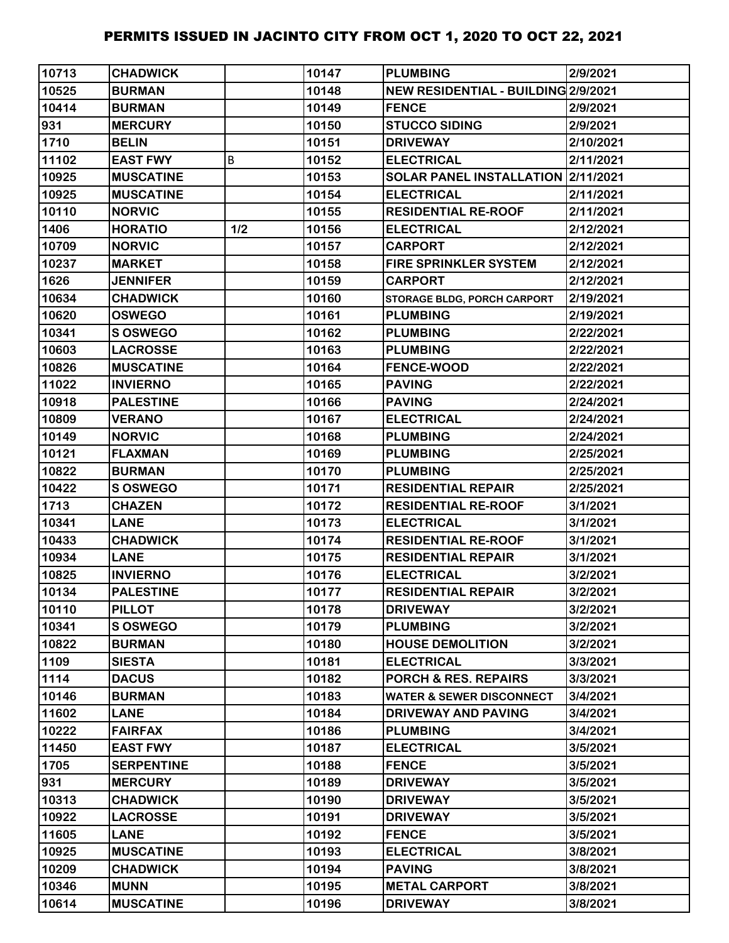| 10713 | <b>CHADWICK</b>   |     | 10147 | <b>PLUMBING</b>                     | 2/9/2021  |
|-------|-------------------|-----|-------|-------------------------------------|-----------|
| 10525 | <b>BURMAN</b>     |     | 10148 | NEW RESIDENTIAL - BUILDING 2/9/2021 |           |
| 10414 | <b>BURMAN</b>     |     | 10149 | <b>FENCE</b>                        | 2/9/2021  |
| 931   | <b>MERCURY</b>    |     | 10150 | <b>STUCCO SIDING</b>                | 2/9/2021  |
| 1710  | <b>BELIN</b>      |     | 10151 | <b>DRIVEWAY</b>                     | 2/10/2021 |
| 11102 | <b>EAST FWY</b>   | B   | 10152 | <b>ELECTRICAL</b>                   | 2/11/2021 |
| 10925 | <b>MUSCATINE</b>  |     | 10153 | SOLAR PANEL INSTALLATION 2/11/2021  |           |
| 10925 | <b>MUSCATINE</b>  |     | 10154 | <b>ELECTRICAL</b>                   | 2/11/2021 |
| 10110 | <b>NORVIC</b>     |     | 10155 | <b>RESIDENTIAL RE-ROOF</b>          | 2/11/2021 |
| 1406  | <b>HORATIO</b>    | 1/2 | 10156 | <b>ELECTRICAL</b>                   | 2/12/2021 |
| 10709 | <b>NORVIC</b>     |     | 10157 | <b>CARPORT</b>                      | 2/12/2021 |
| 10237 | <b>MARKET</b>     |     | 10158 | <b>FIRE SPRINKLER SYSTEM</b>        | 2/12/2021 |
| 1626  | <b>JENNIFER</b>   |     | 10159 | <b>CARPORT</b>                      | 2/12/2021 |
| 10634 | <b>CHADWICK</b>   |     | 10160 | STORAGE BLDG, PORCH CARPORT         | 2/19/2021 |
| 10620 | <b>OSWEGO</b>     |     | 10161 | <b>PLUMBING</b>                     | 2/19/2021 |
| 10341 | <b>S OSWEGO</b>   |     | 10162 | <b>PLUMBING</b>                     | 2/22/2021 |
| 10603 | <b>LACROSSE</b>   |     | 10163 | <b>PLUMBING</b>                     | 2/22/2021 |
| 10826 | <b>MUSCATINE</b>  |     | 10164 | <b>FENCE-WOOD</b>                   | 2/22/2021 |
| 11022 | <b>INVIERNO</b>   |     | 10165 | <b>PAVING</b>                       | 2/22/2021 |
| 10918 | <b>PALESTINE</b>  |     | 10166 | <b>PAVING</b>                       | 2/24/2021 |
| 10809 | <b>VERANO</b>     |     | 10167 | <b>ELECTRICAL</b>                   | 2/24/2021 |
| 10149 | <b>NORVIC</b>     |     | 10168 | <b>PLUMBING</b>                     | 2/24/2021 |
| 10121 | <b>FLAXMAN</b>    |     | 10169 | <b>PLUMBING</b>                     | 2/25/2021 |
| 10822 | <b>BURMAN</b>     |     | 10170 | <b>PLUMBING</b>                     | 2/25/2021 |
| 10422 | S OSWEGO          |     | 10171 | <b>RESIDENTIAL REPAIR</b>           | 2/25/2021 |
| 1713  | <b>CHAZEN</b>     |     | 10172 | <b>RESIDENTIAL RE-ROOF</b>          | 3/1/2021  |
| 10341 | <b>LANE</b>       |     | 10173 | <b>ELECTRICAL</b>                   | 3/1/2021  |
| 10433 | <b>CHADWICK</b>   |     | 10174 | <b>RESIDENTIAL RE-ROOF</b>          | 3/1/2021  |
| 10934 | <b>LANE</b>       |     | 10175 | <b>RESIDENTIAL REPAIR</b>           | 3/1/2021  |
| 10825 | <b>INVIERNO</b>   |     | 10176 | <b>ELECTRICAL</b>                   | 3/2/2021  |
| 10134 | <b>PALESTINE</b>  |     | 10177 | <b>RESIDENTIAL REPAIR</b>           | 3/2/2021  |
| 10110 | <b>PILLOT</b>     |     | 10178 | <b>DRIVEWAY</b>                     | 3/2/2021  |
| 10341 | <b>S OSWEGO</b>   |     | 10179 | <b>PLUMBING</b>                     | 3/2/2021  |
| 10822 | <b>BURMAN</b>     |     | 10180 | <b>HOUSE DEMOLITION</b>             | 3/2/2021  |
| 1109  | <b>SIESTA</b>     |     | 10181 | <b>ELECTRICAL</b>                   | 3/3/2021  |
| 1114  | <b>DACUS</b>      |     | 10182 | <b>PORCH &amp; RES. REPAIRS</b>     | 3/3/2021  |
| 10146 | <b>BURMAN</b>     |     | 10183 | <b>WATER &amp; SEWER DISCONNECT</b> | 3/4/2021  |
| 11602 | <b>LANE</b>       |     | 10184 | <b>DRIVEWAY AND PAVING</b>          | 3/4/2021  |
| 10222 | <b>FAIRFAX</b>    |     | 10186 | <b>PLUMBING</b>                     | 3/4/2021  |
| 11450 | <b>EAST FWY</b>   |     | 10187 | <b>ELECTRICAL</b>                   | 3/5/2021  |
| 1705  | <b>SERPENTINE</b> |     | 10188 | <b>FENCE</b>                        | 3/5/2021  |
| 931   | <b>MERCURY</b>    |     | 10189 | <b>DRIVEWAY</b>                     | 3/5/2021  |
| 10313 | <b>CHADWICK</b>   |     | 10190 | <b>DRIVEWAY</b>                     | 3/5/2021  |
| 10922 | <b>LACROSSE</b>   |     | 10191 | <b>DRIVEWAY</b>                     | 3/5/2021  |
| 11605 | <b>LANE</b>       |     | 10192 | <b>FENCE</b>                        | 3/5/2021  |
| 10925 | <b>MUSCATINE</b>  |     | 10193 | <b>ELECTRICAL</b>                   | 3/8/2021  |
| 10209 | <b>CHADWICK</b>   |     | 10194 | <b>PAVING</b>                       | 3/8/2021  |
| 10346 | <b>MUNN</b>       |     | 10195 | <b>METAL CARPORT</b>                | 3/8/2021  |
| 10614 | <b>MUSCATINE</b>  |     | 10196 | <b>DRIVEWAY</b>                     | 3/8/2021  |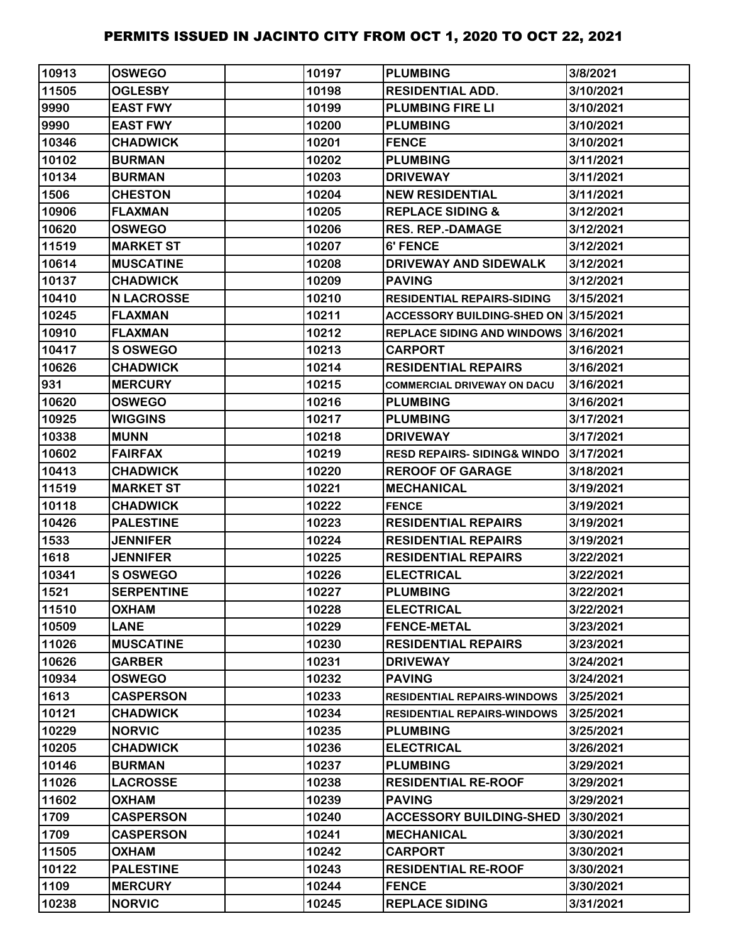| 10913 | <b>OSWEGO</b>     | 10197 | <b>PLUMBING</b>                       | 3/8/2021  |
|-------|-------------------|-------|---------------------------------------|-----------|
| 11505 | <b>OGLESBY</b>    | 10198 | <b>RESIDENTIAL ADD.</b>               | 3/10/2021 |
| 9990  | <b>EAST FWY</b>   | 10199 | <b>PLUMBING FIRE LI</b>               | 3/10/2021 |
| 9990  | <b>EAST FWY</b>   | 10200 | <b>PLUMBING</b>                       | 3/10/2021 |
| 10346 | <b>CHADWICK</b>   | 10201 | <b>FENCE</b>                          | 3/10/2021 |
| 10102 | <b>BURMAN</b>     | 10202 | <b>PLUMBING</b>                       | 3/11/2021 |
| 10134 | <b>BURMAN</b>     | 10203 | <b>DRIVEWAY</b>                       | 3/11/2021 |
| 1506  | <b>CHESTON</b>    | 10204 | <b>NEW RESIDENTIAL</b>                | 3/11/2021 |
| 10906 | <b>FLAXMAN</b>    | 10205 | <b>REPLACE SIDING &amp;</b>           | 3/12/2021 |
| 10620 | <b>OSWEGO</b>     | 10206 | <b>RES. REP.-DAMAGE</b>               | 3/12/2021 |
| 11519 | <b>MARKET ST</b>  | 10207 | 6' FENCE                              | 3/12/2021 |
| 10614 | <b>MUSCATINE</b>  | 10208 | DRIVEWAY AND SIDEWALK                 | 3/12/2021 |
| 10137 | <b>CHADWICK</b>   | 10209 | <b>PAVING</b>                         | 3/12/2021 |
| 10410 | <b>N LACROSSE</b> | 10210 | <b>RESIDENTIAL REPAIRS-SIDING</b>     | 3/15/2021 |
| 10245 | <b>FLAXMAN</b>    | 10211 | ACCESSORY BUILDING-SHED ON 3/15/2021  |           |
| 10910 | <b>FLAXMAN</b>    | 10212 | REPLACE SIDING AND WINDOWS 3/16/2021  |           |
| 10417 | S OSWEGO          | 10213 | <b>CARPORT</b>                        | 3/16/2021 |
| 10626 | <b>CHADWICK</b>   | 10214 | <b>RESIDENTIAL REPAIRS</b>            | 3/16/2021 |
| 931   | <b>MERCURY</b>    | 10215 | <b>COMMERCIAL DRIVEWAY ON DACU</b>    | 3/16/2021 |
| 10620 | <b>OSWEGO</b>     | 10216 | <b>PLUMBING</b>                       | 3/16/2021 |
| 10925 | <b>WIGGINS</b>    | 10217 | <b>PLUMBING</b>                       | 3/17/2021 |
| 10338 | <b>MUNN</b>       | 10218 | <b>DRIVEWAY</b>                       | 3/17/2021 |
| 10602 | <b>FAIRFAX</b>    | 10219 | <b>RESD REPAIRS-SIDING&amp; WINDO</b> | 3/17/2021 |
| 10413 | <b>CHADWICK</b>   | 10220 | <b>REROOF OF GARAGE</b>               | 3/18/2021 |
| 11519 | <b>MARKET ST</b>  | 10221 | <b>MECHANICAL</b>                     | 3/19/2021 |
| 10118 | <b>CHADWICK</b>   | 10222 | <b>FENCE</b>                          | 3/19/2021 |
| 10426 | <b>PALESTINE</b>  | 10223 | <b>RESIDENTIAL REPAIRS</b>            | 3/19/2021 |
| 1533  | <b>JENNIFER</b>   | 10224 | <b>RESIDENTIAL REPAIRS</b>            | 3/19/2021 |
| 1618  | <b>JENNIFER</b>   | 10225 | <b>RESIDENTIAL REPAIRS</b>            | 3/22/2021 |
| 10341 | S OSWEGO          | 10226 | <b>ELECTRICAL</b>                     | 3/22/2021 |
| 1521  | <b>SERPENTINE</b> | 10227 | <b>PLUMBING</b>                       | 3/22/2021 |
| 11510 | <b>OXHAM</b>      | 10228 | <b>ELECTRICAL</b>                     | 3/22/2021 |
| 10509 | <b>LANE</b>       | 10229 | <b>FENCE-METAL</b>                    | 3/23/2021 |
| 11026 | <b>MUSCATINE</b>  | 10230 | <b>RESIDENTIAL REPAIRS</b>            | 3/23/2021 |
| 10626 | <b>GARBER</b>     | 10231 | <b>DRIVEWAY</b>                       | 3/24/2021 |
| 10934 | <b>OSWEGO</b>     | 10232 | <b>PAVING</b>                         | 3/24/2021 |
| 1613  | <b>CASPERSON</b>  | 10233 | <b>RESIDENTIAL REPAIRS-WINDOWS</b>    | 3/25/2021 |
| 10121 | <b>CHADWICK</b>   | 10234 | <b>RESIDENTIAL REPAIRS-WINDOWS</b>    | 3/25/2021 |
| 10229 | <b>NORVIC</b>     | 10235 | <b>PLUMBING</b>                       | 3/25/2021 |
| 10205 | <b>CHADWICK</b>   | 10236 | <b>ELECTRICAL</b>                     | 3/26/2021 |
| 10146 | <b>BURMAN</b>     | 10237 | <b>PLUMBING</b>                       | 3/29/2021 |
| 11026 | <b>LACROSSE</b>   | 10238 | <b>RESIDENTIAL RE-ROOF</b>            | 3/29/2021 |
| 11602 | <b>OXHAM</b>      | 10239 | <b>PAVING</b>                         | 3/29/2021 |
| 1709  | <b>CASPERSON</b>  | 10240 | <b>ACCESSORY BUILDING-SHED</b>        | 3/30/2021 |
| 1709  | <b>CASPERSON</b>  | 10241 | <b>MECHANICAL</b>                     | 3/30/2021 |
| 11505 | <b>OXHAM</b>      | 10242 | <b>CARPORT</b>                        | 3/30/2021 |
| 10122 | <b>PALESTINE</b>  | 10243 | <b>RESIDENTIAL RE-ROOF</b>            | 3/30/2021 |
| 1109  | <b>MERCURY</b>    | 10244 | <b>FENCE</b>                          | 3/30/2021 |
| 10238 | <b>NORVIC</b>     | 10245 | <b>REPLACE SIDING</b>                 | 3/31/2021 |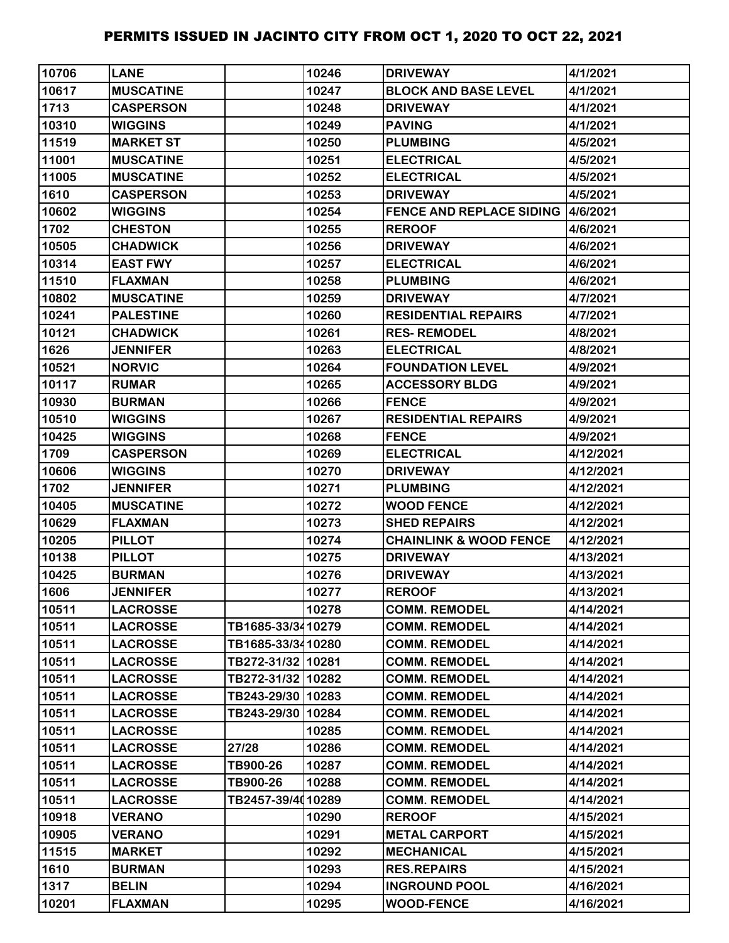| 10706 | <b>LANE</b>      |                   | 10246 | <b>DRIVEWAY</b>                   | 4/1/2021  |
|-------|------------------|-------------------|-------|-----------------------------------|-----------|
| 10617 | <b>MUSCATINE</b> |                   | 10247 | <b>BLOCK AND BASE LEVEL</b>       | 4/1/2021  |
| 1713  | <b>CASPERSON</b> |                   | 10248 | <b>DRIVEWAY</b>                   | 4/1/2021  |
| 10310 | <b>WIGGINS</b>   |                   | 10249 | <b>PAVING</b>                     | 4/1/2021  |
| 11519 | <b>MARKET ST</b> |                   | 10250 | <b>PLUMBING</b>                   | 4/5/2021  |
| 11001 | <b>MUSCATINE</b> |                   | 10251 | <b>ELECTRICAL</b>                 | 4/5/2021  |
| 11005 | <b>MUSCATINE</b> |                   | 10252 | <b>ELECTRICAL</b>                 | 4/5/2021  |
| 1610  | <b>CASPERSON</b> |                   | 10253 | <b>DRIVEWAY</b>                   | 4/5/2021  |
| 10602 | <b>WIGGINS</b>   |                   | 10254 | FENCE AND REPLACE SIDING 4/6/2021 |           |
| 1702  | <b>CHESTON</b>   |                   | 10255 | <b>REROOF</b>                     | 4/6/2021  |
| 10505 | <b>CHADWICK</b>  |                   | 10256 | <b>DRIVEWAY</b>                   | 4/6/2021  |
| 10314 | <b>EAST FWY</b>  |                   | 10257 | <b>ELECTRICAL</b>                 | 4/6/2021  |
| 11510 | <b>FLAXMAN</b>   |                   | 10258 | <b>PLUMBING</b>                   | 4/6/2021  |
| 10802 | <b>MUSCATINE</b> |                   | 10259 | <b>DRIVEWAY</b>                   | 4/7/2021  |
| 10241 | <b>PALESTINE</b> |                   | 10260 | <b>RESIDENTIAL REPAIRS</b>        | 4/7/2021  |
| 10121 | <b>CHADWICK</b>  |                   | 10261 | <b>RES-REMODEL</b>                | 4/8/2021  |
| 1626  | <b>JENNIFER</b>  |                   | 10263 | <b>ELECTRICAL</b>                 | 4/8/2021  |
| 10521 | <b>NORVIC</b>    |                   | 10264 | <b>FOUNDATION LEVEL</b>           | 4/9/2021  |
| 10117 | <b>RUMAR</b>     |                   | 10265 | <b>ACCESSORY BLDG</b>             | 4/9/2021  |
| 10930 | <b>BURMAN</b>    |                   | 10266 | <b>FENCE</b>                      | 4/9/2021  |
| 10510 | <b>WIGGINS</b>   |                   | 10267 | <b>RESIDENTIAL REPAIRS</b>        | 4/9/2021  |
| 10425 | <b>WIGGINS</b>   |                   | 10268 | <b>FENCE</b>                      | 4/9/2021  |
| 1709  | <b>CASPERSON</b> |                   | 10269 | <b>ELECTRICAL</b>                 | 4/12/2021 |
| 10606 | <b>WIGGINS</b>   |                   | 10270 | <b>DRIVEWAY</b>                   | 4/12/2021 |
| 1702  | <b>JENNIFER</b>  |                   | 10271 | <b>PLUMBING</b>                   | 4/12/2021 |
| 10405 | <b>MUSCATINE</b> |                   | 10272 | <b>WOOD FENCE</b>                 | 4/12/2021 |
| 10629 | <b>FLAXMAN</b>   |                   | 10273 | <b>SHED REPAIRS</b>               | 4/12/2021 |
| 10205 | <b>PILLOT</b>    |                   | 10274 | <b>CHAINLINK &amp; WOOD FENCE</b> | 4/12/2021 |
| 10138 | <b>PILLOT</b>    |                   | 10275 | <b>DRIVEWAY</b>                   | 4/13/2021 |
| 10425 | <b>BURMAN</b>    |                   | 10276 | <b>DRIVEWAY</b>                   | 4/13/2021 |
| 1606  | <b>JENNIFER</b>  |                   | 10277 | <b>REROOF</b>                     | 4/13/2021 |
| 10511 | <b>LACROSSE</b>  |                   | 10278 | <b>COMM. REMODEL</b>              | 4/14/2021 |
| 10511 | <b>LACROSSE</b>  | TB1685-33/3410279 |       | <b>COMM. REMODEL</b>              | 4/14/2021 |
| 10511 | <b>LACROSSE</b>  | TB1685-33/3410280 |       | <b>COMM. REMODEL</b>              | 4/14/2021 |
| 10511 | <b>LACROSSE</b>  | TB272-31/32 10281 |       | <b>COMM. REMODEL</b>              | 4/14/2021 |
| 10511 | <b>LACROSSE</b>  | TB272-31/32 10282 |       | <b>COMM. REMODEL</b>              | 4/14/2021 |
| 10511 | <b>LACROSSE</b>  | TB243-29/30 10283 |       | <b>COMM. REMODEL</b>              | 4/14/2021 |
| 10511 | <b>LACROSSE</b>  | TB243-29/30 10284 |       | <b>COMM. REMODEL</b>              | 4/14/2021 |
| 10511 | <b>LACROSSE</b>  |                   | 10285 | <b>COMM. REMODEL</b>              | 4/14/2021 |
| 10511 | <b>LACROSSE</b>  | 27/28             | 10286 | <b>COMM. REMODEL</b>              | 4/14/2021 |
| 10511 | <b>LACROSSE</b>  | TB900-26          | 10287 | <b>COMM. REMODEL</b>              | 4/14/2021 |
| 10511 | <b>LACROSSE</b>  | TB900-26          | 10288 | <b>COMM. REMODEL</b>              | 4/14/2021 |
| 10511 | <b>LACROSSE</b>  | TB2457-39/4010289 |       | <b>COMM. REMODEL</b>              | 4/14/2021 |
| 10918 | <b>VERANO</b>    |                   | 10290 | <b>REROOF</b>                     | 4/15/2021 |
| 10905 | <b>VERANO</b>    |                   | 10291 | <b>METAL CARPORT</b>              | 4/15/2021 |
| 11515 | <b>MARKET</b>    |                   | 10292 | <b>MECHANICAL</b>                 | 4/15/2021 |
| 1610  | <b>BURMAN</b>    |                   | 10293 | <b>RES.REPAIRS</b>                | 4/15/2021 |
| 1317  | <b>BELIN</b>     |                   | 10294 | <b>INGROUND POOL</b>              | 4/16/2021 |
| 10201 | <b>FLAXMAN</b>   |                   | 10295 | <b>WOOD-FENCE</b>                 | 4/16/2021 |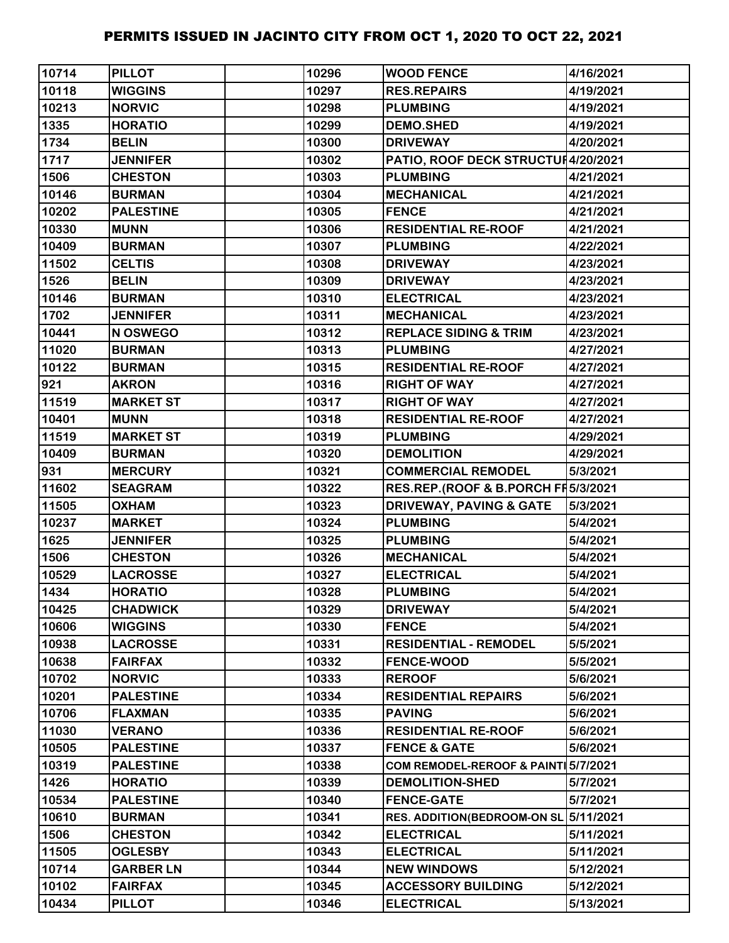| 10714 | <b>PILLOT</b>    | 10296 | <b>WOOD FENCE</b>                   | 4/16/2021 |
|-------|------------------|-------|-------------------------------------|-----------|
| 10118 | <b>WIGGINS</b>   | 10297 | <b>RES.REPAIRS</b>                  | 4/19/2021 |
| 10213 | <b>NORVIC</b>    | 10298 | <b>PLUMBING</b>                     | 4/19/2021 |
| 1335  | <b>HORATIO</b>   | 10299 | <b>DEMO.SHED</b>                    | 4/19/2021 |
| 1734  | <b>BELIN</b>     | 10300 | <b>DRIVEWAY</b>                     | 4/20/2021 |
| 1717  | <b>JENNIFER</b>  | 10302 | PATIO, ROOF DECK STRUCTUI4/20/2021  |           |
| 1506  | <b>CHESTON</b>   | 10303 | <b>PLUMBING</b>                     | 4/21/2021 |
| 10146 | <b>BURMAN</b>    | 10304 | <b>MECHANICAL</b>                   | 4/21/2021 |
| 10202 | <b>PALESTINE</b> | 10305 | <b>FENCE</b>                        | 4/21/2021 |
| 10330 | <b>MUNN</b>      | 10306 | <b>RESIDENTIAL RE-ROOF</b>          | 4/21/2021 |
| 10409 | <b>BURMAN</b>    | 10307 | <b>PLUMBING</b>                     | 4/22/2021 |
| 11502 | <b>CELTIS</b>    | 10308 | <b>DRIVEWAY</b>                     | 4/23/2021 |
| 1526  | <b>BELIN</b>     | 10309 | <b>DRIVEWAY</b>                     | 4/23/2021 |
| 10146 | <b>BURMAN</b>    | 10310 | <b>ELECTRICAL</b>                   | 4/23/2021 |
| 1702  | <b>JENNIFER</b>  | 10311 | <b>MECHANICAL</b>                   | 4/23/2021 |
| 10441 | N OSWEGO         | 10312 | <b>REPLACE SIDING &amp; TRIM</b>    | 4/23/2021 |
| 11020 | <b>BURMAN</b>    | 10313 | <b>PLUMBING</b>                     | 4/27/2021 |
| 10122 | <b>BURMAN</b>    | 10315 | <b>RESIDENTIAL RE-ROOF</b>          | 4/27/2021 |
| 921   | <b>AKRON</b>     | 10316 | <b>RIGHT OF WAY</b>                 | 4/27/2021 |
| 11519 | <b>MARKET ST</b> | 10317 | <b>RIGHT OF WAY</b>                 | 4/27/2021 |
| 10401 | <b>MUNN</b>      | 10318 | <b>RESIDENTIAL RE-ROOF</b>          | 4/27/2021 |
| 11519 | <b>MARKET ST</b> | 10319 | <b>PLUMBING</b>                     | 4/29/2021 |
| 10409 | <b>BURMAN</b>    | 10320 | <b>DEMOLITION</b>                   | 4/29/2021 |
| 931   | <b>MERCURY</b>   | 10321 | <b>COMMERCIAL REMODEL</b>           | 5/3/2021  |
| 11602 | <b>SEAGRAM</b>   | 10322 | RES.REP.(ROOF & B.PORCH FI 5/3/2021 |           |
| 11505 | <b>OXHAM</b>     | 10323 | <b>DRIVEWAY, PAVING &amp; GATE</b>  | 5/3/2021  |
| 10237 | <b>MARKET</b>    | 10324 | <b>PLUMBING</b>                     | 5/4/2021  |
| 1625  | <b>JENNIFER</b>  | 10325 | <b>PLUMBING</b>                     | 5/4/2021  |
| 1506  | <b>CHESTON</b>   | 10326 | <b>MECHANICAL</b>                   | 5/4/2021  |
| 10529 | <b>LACROSSE</b>  | 10327 | <b>ELECTRICAL</b>                   | 5/4/2021  |
| 1434  | <b>HORATIO</b>   | 10328 | <b>PLUMBING</b>                     | 5/4/2021  |
| 10425 | <b>CHADWICK</b>  | 10329 | <b>DRIVEWAY</b>                     | 5/4/2021  |
| 10606 | <b>WIGGINS</b>   | 10330 | <b>FENCE</b>                        | 5/4/2021  |
| 10938 | <b>LACROSSE</b>  | 10331 | <b>RESIDENTIAL - REMODEL</b>        | 5/5/2021  |
| 10638 | <b>FAIRFAX</b>   | 10332 | <b>FENCE-WOOD</b>                   | 5/5/2021  |
| 10702 | <b>NORVIC</b>    | 10333 | <b>REROOF</b>                       | 5/6/2021  |
| 10201 | <b>PALESTINE</b> | 10334 | <b>RESIDENTIAL REPAIRS</b>          | 5/6/2021  |
| 10706 | <b>FLAXMAN</b>   | 10335 | <b>PAVING</b>                       | 5/6/2021  |
| 11030 | <b>VERANO</b>    | 10336 | <b>RESIDENTIAL RE-ROOF</b>          | 5/6/2021  |
| 10505 | <b>PALESTINE</b> | 10337 | <b>FENCE &amp; GATE</b>             | 5/6/2021  |
| 10319 | <b>PALESTINE</b> | 10338 | COM REMODEL-REROOF & PAINT 5/7/2021 |           |
| 1426  | <b>HORATIO</b>   | 10339 | <b>DEMOLITION-SHED</b>              | 5/7/2021  |
| 10534 | <b>PALESTINE</b> | 10340 | <b>FENCE-GATE</b>                   | 5/7/2021  |
| 10610 | <b>BURMAN</b>    | 10341 | <b>RES. ADDITION(BEDROOM-ON SL</b>  | 5/11/2021 |
| 1506  | <b>CHESTON</b>   | 10342 | <b>ELECTRICAL</b>                   | 5/11/2021 |
| 11505 | <b>OGLESBY</b>   | 10343 | <b>ELECTRICAL</b>                   | 5/11/2021 |
| 10714 | <b>GARBER LN</b> | 10344 | <b>NEW WINDOWS</b>                  | 5/12/2021 |
| 10102 | <b>FAIRFAX</b>   | 10345 | <b>ACCESSORY BUILDING</b>           | 5/12/2021 |
| 10434 | <b>PILLOT</b>    | 10346 | <b>ELECTRICAL</b>                   | 5/13/2021 |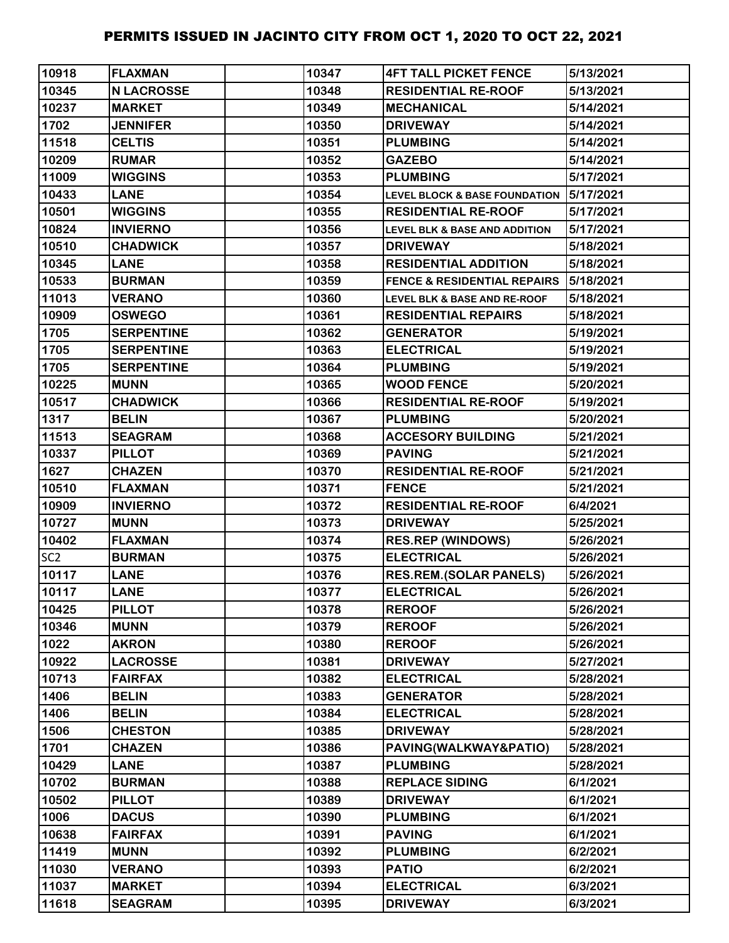| 10918           | <b>FLAXMAN</b>    | 10347 | <b>4FT TALL PICKET FENCE</b>             | 5/13/2021 |
|-----------------|-------------------|-------|------------------------------------------|-----------|
| 10345           | <b>N LACROSSE</b> | 10348 | <b>RESIDENTIAL RE-ROOF</b>               | 5/13/2021 |
| 10237           | <b>MARKET</b>     | 10349 | <b>MECHANICAL</b>                        | 5/14/2021 |
| 1702            | <b>JENNIFER</b>   | 10350 | <b>DRIVEWAY</b>                          | 5/14/2021 |
| 11518           | <b>CELTIS</b>     | 10351 | <b>PLUMBING</b>                          | 5/14/2021 |
| 10209           | <b>RUMAR</b>      | 10352 | <b>GAZEBO</b>                            | 5/14/2021 |
| 11009           | <b>WIGGINS</b>    | 10353 | <b>PLUMBING</b>                          | 5/17/2021 |
| 10433           | <b>LANE</b>       | 10354 | <b>LEVEL BLOCK &amp; BASE FOUNDATION</b> | 5/17/2021 |
| 10501           | <b>WIGGINS</b>    | 10355 | <b>RESIDENTIAL RE-ROOF</b>               | 5/17/2021 |
| 10824           | <b>INVIERNO</b>   | 10356 | <b>LEVEL BLK &amp; BASE AND ADDITION</b> | 5/17/2021 |
| 10510           | <b>CHADWICK</b>   | 10357 | <b>DRIVEWAY</b>                          | 5/18/2021 |
| 10345           | <b>LANE</b>       | 10358 | <b>RESIDENTIAL ADDITION</b>              | 5/18/2021 |
| 10533           | <b>BURMAN</b>     | 10359 | <b>FENCE &amp; RESIDENTIAL REPAIRS</b>   | 5/18/2021 |
| 11013           | <b>VERANO</b>     | 10360 | <b>LEVEL BLK &amp; BASE AND RE-ROOF</b>  | 5/18/2021 |
| 10909           | <b>OSWEGO</b>     | 10361 | <b>RESIDENTIAL REPAIRS</b>               | 5/18/2021 |
| 1705            | <b>SERPENTINE</b> | 10362 | <b>GENERATOR</b>                         | 5/19/2021 |
| 1705            | <b>SERPENTINE</b> | 10363 | <b>ELECTRICAL</b>                        | 5/19/2021 |
| 1705            | <b>SERPENTINE</b> | 10364 | <b>PLUMBING</b>                          | 5/19/2021 |
| 10225           | <b>MUNN</b>       | 10365 | <b>WOOD FENCE</b>                        | 5/20/2021 |
| 10517           | <b>CHADWICK</b>   | 10366 | <b>RESIDENTIAL RE-ROOF</b>               | 5/19/2021 |
| 1317            | <b>BELIN</b>      | 10367 | <b>PLUMBING</b>                          | 5/20/2021 |
| 11513           | <b>SEAGRAM</b>    | 10368 | <b>ACCESORY BUILDING</b>                 | 5/21/2021 |
| 10337           | <b>PILLOT</b>     | 10369 | <b>PAVING</b>                            | 5/21/2021 |
| 1627            | <b>CHAZEN</b>     | 10370 | <b>RESIDENTIAL RE-ROOF</b>               | 5/21/2021 |
| 10510           | <b>FLAXMAN</b>    | 10371 | <b>FENCE</b>                             | 5/21/2021 |
| 10909           | <b>INVIERNO</b>   | 10372 | <b>RESIDENTIAL RE-ROOF</b>               | 6/4/2021  |
| 10727           | <b>MUNN</b>       | 10373 | <b>DRIVEWAY</b>                          | 5/25/2021 |
| 10402           | <b>FLAXMAN</b>    | 10374 | <b>RES.REP (WINDOWS)</b>                 | 5/26/2021 |
| SC <sub>2</sub> | <b>BURMAN</b>     | 10375 | <b>ELECTRICAL</b>                        | 5/26/2021 |
| 10117           | <b>LANE</b>       | 10376 | <b>RES.REM.(SOLAR PANELS)</b>            | 5/26/2021 |
| 10117           | <b>LANE</b>       | 10377 | <b>ELECTRICAL</b>                        | 5/26/2021 |
| 10425           | <b>PILLOT</b>     | 10378 | <b>REROOF</b>                            | 5/26/2021 |
| 10346           | <b>MUNN</b>       | 10379 | <b>REROOF</b>                            | 5/26/2021 |
| 1022            | <b>AKRON</b>      | 10380 | <b>REROOF</b>                            | 5/26/2021 |
| 10922           | <b>LACROSSE</b>   | 10381 | <b>DRIVEWAY</b>                          | 5/27/2021 |
| 10713           | <b>FAIRFAX</b>    | 10382 | <b>ELECTRICAL</b>                        | 5/28/2021 |
| 1406            | <b>BELIN</b>      | 10383 | <b>GENERATOR</b>                         | 5/28/2021 |
| 1406            | <b>BELIN</b>      | 10384 | <b>ELECTRICAL</b>                        | 5/28/2021 |
| 1506            | <b>CHESTON</b>    | 10385 | <b>DRIVEWAY</b>                          | 5/28/2021 |
| 1701            | <b>CHAZEN</b>     | 10386 | PAVING(WALKWAY&PATIO)                    | 5/28/2021 |
| 10429           | <b>LANE</b>       | 10387 | <b>PLUMBING</b>                          | 5/28/2021 |
| 10702           | <b>BURMAN</b>     | 10388 | <b>REPLACE SIDING</b>                    | 6/1/2021  |
| 10502           | <b>PILLOT</b>     | 10389 | <b>DRIVEWAY</b>                          | 6/1/2021  |
| 1006            | <b>DACUS</b>      | 10390 | <b>PLUMBING</b>                          | 6/1/2021  |
| 10638           | <b>FAIRFAX</b>    | 10391 | <b>PAVING</b>                            | 6/1/2021  |
| 11419           | <b>MUNN</b>       | 10392 | <b>PLUMBING</b>                          | 6/2/2021  |
| 11030           | <b>VERANO</b>     | 10393 | <b>PATIO</b>                             | 6/2/2021  |
| 11037           | <b>MARKET</b>     | 10394 | <b>ELECTRICAL</b>                        | 6/3/2021  |
| 11618           | <b>SEAGRAM</b>    | 10395 | <b>DRIVEWAY</b>                          | 6/3/2021  |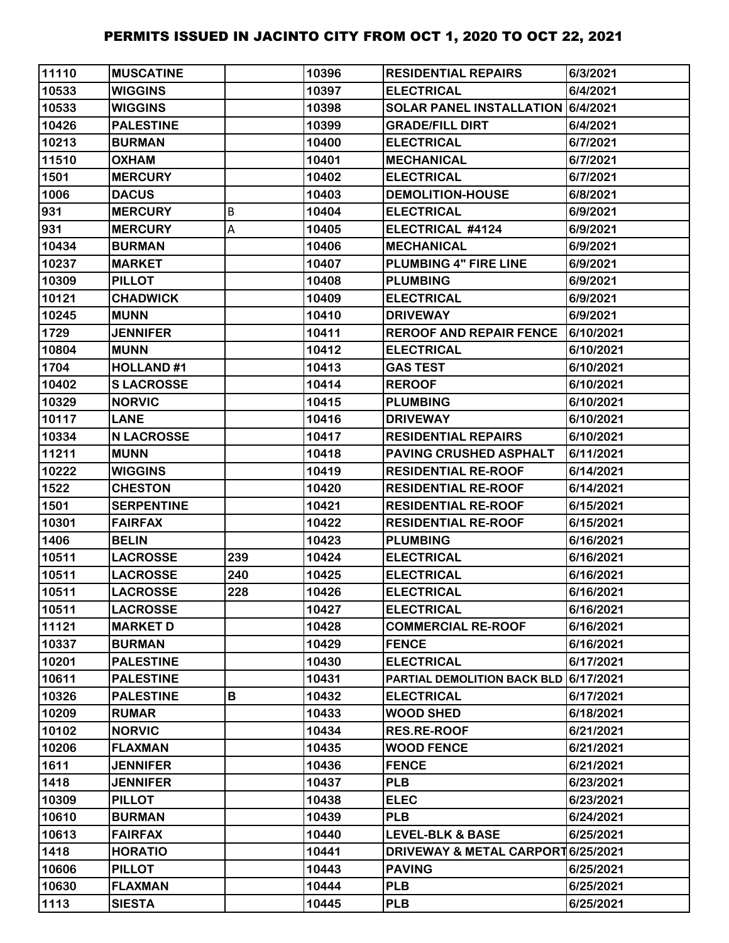| 11110 | <b>MUSCATINE</b>  |     | 10396 | <b>RESIDENTIAL REPAIRS</b>            | 6/3/2021  |
|-------|-------------------|-----|-------|---------------------------------------|-----------|
| 10533 | <b>WIGGINS</b>    |     | 10397 | <b>ELECTRICAL</b>                     | 6/4/2021  |
| 10533 | <b>WIGGINS</b>    |     | 10398 | SOLAR PANEL INSTALLATION 6/4/2021     |           |
| 10426 | <b>PALESTINE</b>  |     | 10399 | <b>GRADE/FILL DIRT</b>                | 6/4/2021  |
| 10213 | <b>BURMAN</b>     |     | 10400 | <b>ELECTRICAL</b>                     | 6/7/2021  |
| 11510 | <b>OXHAM</b>      |     | 10401 | <b>MECHANICAL</b>                     | 6/7/2021  |
| 1501  | <b>MERCURY</b>    |     | 10402 | <b>ELECTRICAL</b>                     | 6/7/2021  |
| 1006  | <b>DACUS</b>      |     | 10403 | <b>DEMOLITION-HOUSE</b>               | 6/8/2021  |
| 931   | <b>MERCURY</b>    | B   | 10404 | <b>ELECTRICAL</b>                     | 6/9/2021  |
| 931   | <b>MERCURY</b>    | Α   | 10405 | ELECTRICAL #4124                      | 6/9/2021  |
| 10434 | <b>BURMAN</b>     |     | 10406 | <b>MECHANICAL</b>                     | 6/9/2021  |
| 10237 | <b>MARKET</b>     |     | 10407 | PLUMBING 4" FIRE LINE                 | 6/9/2021  |
| 10309 | <b>PILLOT</b>     |     | 10408 | <b>PLUMBING</b>                       | 6/9/2021  |
| 10121 | <b>CHADWICK</b>   |     | 10409 | <b>ELECTRICAL</b>                     | 6/9/2021  |
| 10245 | <b>MUNN</b>       |     | 10410 | <b>DRIVEWAY</b>                       | 6/9/2021  |
| 1729  | <b>JENNIFER</b>   |     | 10411 | <b>REROOF AND REPAIR FENCE</b>        | 6/10/2021 |
| 10804 | <b>MUNN</b>       |     | 10412 | <b>ELECTRICAL</b>                     | 6/10/2021 |
| 1704  | <b>HOLLAND#1</b>  |     | 10413 | <b>GAS TEST</b>                       | 6/10/2021 |
| 10402 | <b>SLACROSSE</b>  |     | 10414 | <b>REROOF</b>                         | 6/10/2021 |
| 10329 | <b>NORVIC</b>     |     | 10415 | <b>PLUMBING</b>                       | 6/10/2021 |
| 10117 | <b>LANE</b>       |     | 10416 | <b>DRIVEWAY</b>                       | 6/10/2021 |
| 10334 | <b>N LACROSSE</b> |     | 10417 | <b>RESIDENTIAL REPAIRS</b>            | 6/10/2021 |
| 11211 | <b>MUNN</b>       |     | 10418 | PAVING CRUSHED ASPHALT                | 6/11/2021 |
| 10222 | <b>WIGGINS</b>    |     | 10419 | <b>RESIDENTIAL RE-ROOF</b>            | 6/14/2021 |
| 1522  | <b>CHESTON</b>    |     | 10420 | <b>RESIDENTIAL RE-ROOF</b>            | 6/14/2021 |
| 1501  | <b>SERPENTINE</b> |     | 10421 | <b>RESIDENTIAL RE-ROOF</b>            | 6/15/2021 |
| 10301 | <b>FAIRFAX</b>    |     | 10422 | <b>RESIDENTIAL RE-ROOF</b>            | 6/15/2021 |
| 1406  | <b>BELIN</b>      |     | 10423 | <b>PLUMBING</b>                       | 6/16/2021 |
| 10511 | <b>LACROSSE</b>   | 239 | 10424 | <b>ELECTRICAL</b>                     | 6/16/2021 |
| 10511 | <b>LACROSSE</b>   | 240 | 10425 | <b>ELECTRICAL</b>                     | 6/16/2021 |
| 10511 | <b>LACROSSE</b>   | 228 | 10426 | <b>ELECTRICAL</b>                     | 6/16/2021 |
| 10511 | <b>LACROSSE</b>   |     | 10427 | <b>ELECTRICAL</b>                     | 6/16/2021 |
| 11121 | <b>MARKET D</b>   |     | 10428 | <b>COMMERCIAL RE-ROOF</b>             | 6/16/2021 |
| 10337 | <b>BURMAN</b>     |     | 10429 | <b>FENCE</b>                          | 6/16/2021 |
| 10201 | <b>PALESTINE</b>  |     | 10430 | <b>ELECTRICAL</b>                     | 6/17/2021 |
| 10611 | <b>PALESTINE</b>  |     | 10431 | PARTIAL DEMOLITION BACK BLD 6/17/2021 |           |
| 10326 | <b>PALESTINE</b>  | В   | 10432 | <b>ELECTRICAL</b>                     | 6/17/2021 |
| 10209 | <b>RUMAR</b>      |     | 10433 | <b>WOOD SHED</b>                      | 6/18/2021 |
| 10102 | <b>NORVIC</b>     |     | 10434 | <b>RES.RE-ROOF</b>                    | 6/21/2021 |
| 10206 | <b>FLAXMAN</b>    |     | 10435 | <b>WOOD FENCE</b>                     | 6/21/2021 |
| 1611  | <b>JENNIFER</b>   |     | 10436 | <b>FENCE</b>                          | 6/21/2021 |
| 1418  | <b>JENNIFER</b>   |     | 10437 | <b>PLB</b>                            | 6/23/2021 |
| 10309 | <b>PILLOT</b>     |     | 10438 | <b>ELEC</b>                           | 6/23/2021 |
| 10610 | <b>BURMAN</b>     |     | 10439 | <b>PLB</b>                            | 6/24/2021 |
| 10613 | <b>FAIRFAX</b>    |     | 10440 | <b>LEVEL-BLK &amp; BASE</b>           | 6/25/2021 |
| 1418  | <b>HORATIO</b>    |     | 10441 | DRIVEWAY & METAL CARPORT 6/25/2021    |           |
| 10606 | <b>PILLOT</b>     |     | 10443 | <b>PAVING</b>                         | 6/25/2021 |
| 10630 | <b>FLAXMAN</b>    |     | 10444 | <b>PLB</b>                            | 6/25/2021 |
| 1113  | <b>SIESTA</b>     |     | 10445 | <b>PLB</b>                            | 6/25/2021 |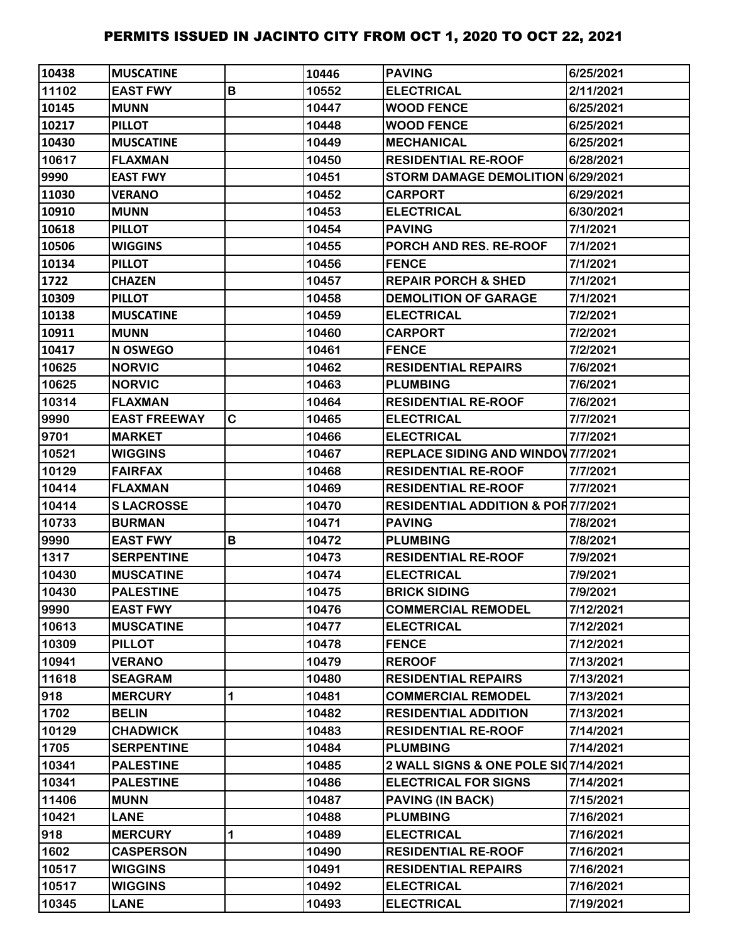| 10438 | <b>MUSCATINE</b>    |   | 10446 | <b>PAVING</b>                                 | 6/25/2021 |
|-------|---------------------|---|-------|-----------------------------------------------|-----------|
| 11102 | <b>EAST FWY</b>     | B | 10552 | <b>ELECTRICAL</b>                             | 2/11/2021 |
| 10145 | <b>MUNN</b>         |   | 10447 | <b>WOOD FENCE</b>                             | 6/25/2021 |
| 10217 | <b>PILLOT</b>       |   | 10448 | <b>WOOD FENCE</b>                             | 6/25/2021 |
| 10430 | <b>MUSCATINE</b>    |   | 10449 | <b>MECHANICAL</b>                             | 6/25/2021 |
| 10617 | <b>FLAXMAN</b>      |   | 10450 | <b>RESIDENTIAL RE-ROOF</b>                    | 6/28/2021 |
| 9990  | <b>EAST FWY</b>     |   | 10451 | STORM DAMAGE DEMOLITION 6/29/2021             |           |
| 11030 | <b>VERANO</b>       |   | 10452 | <b>CARPORT</b>                                | 6/29/2021 |
| 10910 | <b>MUNN</b>         |   | 10453 | <b>ELECTRICAL</b>                             | 6/30/2021 |
| 10618 | <b>PILLOT</b>       |   | 10454 | <b>PAVING</b>                                 | 7/1/2021  |
| 10506 | <b>WIGGINS</b>      |   | 10455 | PORCH AND RES. RE-ROOF                        | 7/1/2021  |
| 10134 | <b>PILLOT</b>       |   | 10456 | <b>FENCE</b>                                  | 7/1/2021  |
| 1722  | <b>CHAZEN</b>       |   | 10457 | <b>REPAIR PORCH &amp; SHED</b>                | 7/1/2021  |
| 10309 | <b>PILLOT</b>       |   | 10458 | <b>DEMOLITION OF GARAGE</b>                   | 7/1/2021  |
| 10138 | <b>MUSCATINE</b>    |   | 10459 | <b>ELECTRICAL</b>                             | 7/2/2021  |
| 10911 | <b>MUNN</b>         |   | 10460 | <b>CARPORT</b>                                | 7/2/2021  |
| 10417 | N OSWEGO            |   | 10461 | <b>FENCE</b>                                  | 7/2/2021  |
| 10625 | <b>NORVIC</b>       |   | 10462 | <b>RESIDENTIAL REPAIRS</b>                    | 7/6/2021  |
| 10625 | <b>NORVIC</b>       |   | 10463 | <b>PLUMBING</b>                               | 7/6/2021  |
| 10314 | <b>FLAXMAN</b>      |   | 10464 | <b>RESIDENTIAL RE-ROOF</b>                    | 7/6/2021  |
| 9990  | <b>EAST FREEWAY</b> | C | 10465 | <b>ELECTRICAL</b>                             | 7/7/2021  |
| 9701  | <b>MARKET</b>       |   | 10466 | <b>ELECTRICAL</b>                             | 7/7/2021  |
| 10521 | <b>WIGGINS</b>      |   | 10467 | <b>REPLACE SIDING AND WINDOV 7/7/2021</b>     |           |
| 10129 | <b>FAIRFAX</b>      |   | 10468 | <b>RESIDENTIAL RE-ROOF</b>                    | 7/7/2021  |
| 10414 | <b>FLAXMAN</b>      |   | 10469 | <b>RESIDENTIAL RE-ROOF</b>                    | 7/7/2021  |
| 10414 | <b>SLACROSSE</b>    |   | 10470 | <b>RESIDENTIAL ADDITION &amp; POR7/7/2021</b> |           |
| 10733 | <b>BURMAN</b>       |   | 10471 | <b>PAVING</b>                                 | 7/8/2021  |
| 9990  | <b>EAST FWY</b>     | В | 10472 | <b>PLUMBING</b>                               | 7/8/2021  |
| 1317  | <b>SERPENTINE</b>   |   | 10473 | <b>RESIDENTIAL RE-ROOF</b>                    | 7/9/2021  |
| 10430 | <b>MUSCATINE</b>    |   | 10474 | <b>ELECTRICAL</b>                             | 7/9/2021  |
| 10430 | <b>PALESTINE</b>    |   | 10475 | <b>BRICK SIDING</b>                           | 7/9/2021  |
| 9990  | <b>EAST FWY</b>     |   | 10476 | <b>COMMERCIAL REMODEL</b>                     | 7/12/2021 |
| 10613 | <b>MUSCATINE</b>    |   | 10477 | <b>ELECTRICAL</b>                             | 7/12/2021 |
| 10309 | <b>PILLOT</b>       |   | 10478 | <b>FENCE</b>                                  | 7/12/2021 |
| 10941 | <b>VERANO</b>       |   | 10479 | <b>REROOF</b>                                 | 7/13/2021 |
| 11618 | <b>SEAGRAM</b>      |   | 10480 | <b>RESIDENTIAL REPAIRS</b>                    | 7/13/2021 |
| 918   | <b>MERCURY</b>      | 1 | 10481 | <b>COMMERCIAL REMODEL</b>                     | 7/13/2021 |
| 1702  | <b>BELIN</b>        |   | 10482 | <b>RESIDENTIAL ADDITION</b>                   | 7/13/2021 |
| 10129 | <b>CHADWICK</b>     |   | 10483 | <b>RESIDENTIAL RE-ROOF</b>                    | 7/14/2021 |
| 1705  | <b>SERPENTINE</b>   |   | 10484 | <b>PLUMBING</b>                               | 7/14/2021 |
| 10341 | <b>PALESTINE</b>    |   | 10485 | 2 WALL SIGNS & ONE POLE SI07/14/2021          |           |
| 10341 | <b>PALESTINE</b>    |   | 10486 | <b>ELECTRICAL FOR SIGNS</b>                   | 7/14/2021 |
| 11406 | <b>MUNN</b>         |   | 10487 | <b>PAVING (IN BACK)</b>                       | 7/15/2021 |
| 10421 | <b>LANE</b>         |   | 10488 | <b>PLUMBING</b>                               | 7/16/2021 |
| 918   | <b>MERCURY</b>      | 1 | 10489 | <b>ELECTRICAL</b>                             | 7/16/2021 |
| 1602  | <b>CASPERSON</b>    |   | 10490 | <b>RESIDENTIAL RE-ROOF</b>                    | 7/16/2021 |
| 10517 | <b>WIGGINS</b>      |   | 10491 | <b>RESIDENTIAL REPAIRS</b>                    | 7/16/2021 |
| 10517 | <b>WIGGINS</b>      |   | 10492 | <b>ELECTRICAL</b>                             | 7/16/2021 |
| 10345 | <b>LANE</b>         |   | 10493 | <b>ELECTRICAL</b>                             | 7/19/2021 |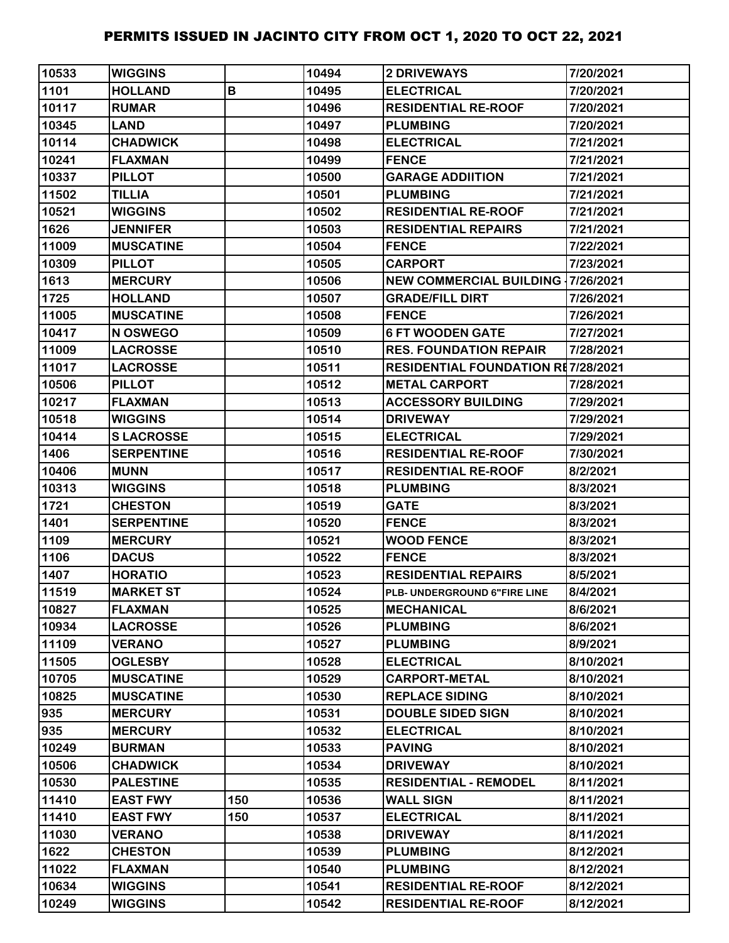| 10533 | <b>WIGGINS</b>    |     | 10494 | <b>2 DRIVEWAYS</b>                        | 7/20/2021 |
|-------|-------------------|-----|-------|-------------------------------------------|-----------|
| 1101  | <b>HOLLAND</b>    | B   | 10495 | <b>ELECTRICAL</b>                         | 7/20/2021 |
| 10117 | <b>RUMAR</b>      |     | 10496 | <b>RESIDENTIAL RE-ROOF</b>                | 7/20/2021 |
| 10345 | <b>LAND</b>       |     | 10497 | <b>PLUMBING</b>                           | 7/20/2021 |
| 10114 | <b>CHADWICK</b>   |     | 10498 | <b>ELECTRICAL</b>                         | 7/21/2021 |
| 10241 | <b>FLAXMAN</b>    |     | 10499 | <b>FENCE</b>                              | 7/21/2021 |
| 10337 | <b>PILLOT</b>     |     | 10500 | <b>GARAGE ADDIITION</b>                   | 7/21/2021 |
| 11502 | <b>TILLIA</b>     |     | 10501 | <b>PLUMBING</b>                           | 7/21/2021 |
| 10521 | <b>WIGGINS</b>    |     | 10502 | <b>RESIDENTIAL RE-ROOF</b>                | 7/21/2021 |
| 1626  | <b>JENNIFER</b>   |     | 10503 | <b>RESIDENTIAL REPAIRS</b>                | 7/21/2021 |
| 11009 | <b>MUSCATINE</b>  |     | 10504 | <b>FENCE</b>                              | 7/22/2021 |
| 10309 | <b>PILLOT</b>     |     | 10505 | <b>CARPORT</b>                            | 7/23/2021 |
| 1613  | <b>MERCURY</b>    |     | 10506 | <b>NEW COMMERCIAL BUILDING 17/26/2021</b> |           |
| 1725  | <b>HOLLAND</b>    |     | 10507 | <b>GRADE/FILL DIRT</b>                    | 7/26/2021 |
| 11005 | <b>MUSCATINE</b>  |     | 10508 | <b>FENCE</b>                              | 7/26/2021 |
| 10417 | N OSWEGO          |     | 10509 | <b>6 FT WOODEN GATE</b>                   | 7/27/2021 |
| 11009 | <b>LACROSSE</b>   |     | 10510 | <b>RES. FOUNDATION REPAIR</b>             | 7/28/2021 |
| 11017 | <b>LACROSSE</b>   |     | 10511 | <b>RESIDENTIAL FOUNDATION RE7/28/2021</b> |           |
| 10506 | <b>PILLOT</b>     |     | 10512 | <b>METAL CARPORT</b>                      | 7/28/2021 |
| 10217 | <b>FLAXMAN</b>    |     | 10513 | <b>ACCESSORY BUILDING</b>                 | 7/29/2021 |
| 10518 | <b>WIGGINS</b>    |     | 10514 | <b>DRIVEWAY</b>                           | 7/29/2021 |
| 10414 | <b>SLACROSSE</b>  |     | 10515 | <b>ELECTRICAL</b>                         | 7/29/2021 |
| 1406  | <b>SERPENTINE</b> |     | 10516 | <b>RESIDENTIAL RE-ROOF</b>                | 7/30/2021 |
| 10406 | <b>MUNN</b>       |     | 10517 | <b>RESIDENTIAL RE-ROOF</b>                | 8/2/2021  |
| 10313 | <b>WIGGINS</b>    |     | 10518 | <b>PLUMBING</b>                           | 8/3/2021  |
| 1721  | <b>CHESTON</b>    |     | 10519 | <b>GATE</b>                               | 8/3/2021  |
| 1401  | <b>SERPENTINE</b> |     | 10520 | <b>FENCE</b>                              | 8/3/2021  |
| 1109  | <b>MERCURY</b>    |     | 10521 | <b>WOOD FENCE</b>                         | 8/3/2021  |
| 1106  | <b>DACUS</b>      |     | 10522 | <b>FENCE</b>                              | 8/3/2021  |
| 1407  | <b>HORATIO</b>    |     | 10523 | <b>RESIDENTIAL REPAIRS</b>                | 8/5/2021  |
| 11519 | <b>MARKET ST</b>  |     | 10524 | PLB- UNDERGROUND 6"FIRE LINE              | 8/4/2021  |
| 10827 | <b>FLAXMAN</b>    |     | 10525 | <b>MECHANICAL</b>                         | 8/6/2021  |
| 10934 | <b>LACROSSE</b>   |     | 10526 | <b>PLUMBING</b>                           | 8/6/2021  |
| 11109 | <b>VERANO</b>     |     | 10527 | <b>PLUMBING</b>                           | 8/9/2021  |
| 11505 | <b>OGLESBY</b>    |     | 10528 | <b>ELECTRICAL</b>                         | 8/10/2021 |
| 10705 | <b>MUSCATINE</b>  |     | 10529 | <b>CARPORT-METAL</b>                      | 8/10/2021 |
| 10825 | <b>MUSCATINE</b>  |     | 10530 | <b>REPLACE SIDING</b>                     | 8/10/2021 |
| 935   | <b>MERCURY</b>    |     | 10531 | <b>DOUBLE SIDED SIGN</b>                  | 8/10/2021 |
| 935   | <b>MERCURY</b>    |     | 10532 | <b>ELECTRICAL</b>                         | 8/10/2021 |
| 10249 | <b>BURMAN</b>     |     | 10533 | <b>PAVING</b>                             | 8/10/2021 |
| 10506 | <b>CHADWICK</b>   |     | 10534 | <b>DRIVEWAY</b>                           | 8/10/2021 |
| 10530 | <b>PALESTINE</b>  |     | 10535 | <b>RESIDENTIAL - REMODEL</b>              | 8/11/2021 |
| 11410 | <b>EAST FWY</b>   | 150 | 10536 | <b>WALL SIGN</b>                          | 8/11/2021 |
| 11410 | <b>EAST FWY</b>   | 150 | 10537 | <b>ELECTRICAL</b>                         | 8/11/2021 |
| 11030 | <b>VERANO</b>     |     | 10538 | <b>DRIVEWAY</b>                           | 8/11/2021 |
| 1622  | <b>CHESTON</b>    |     | 10539 | <b>PLUMBING</b>                           | 8/12/2021 |
| 11022 | <b>FLAXMAN</b>    |     | 10540 | <b>PLUMBING</b>                           | 8/12/2021 |
| 10634 | <b>WIGGINS</b>    |     | 10541 | <b>RESIDENTIAL RE-ROOF</b>                | 8/12/2021 |
| 10249 | <b>WIGGINS</b>    |     | 10542 | <b>RESIDENTIAL RE-ROOF</b>                | 8/12/2021 |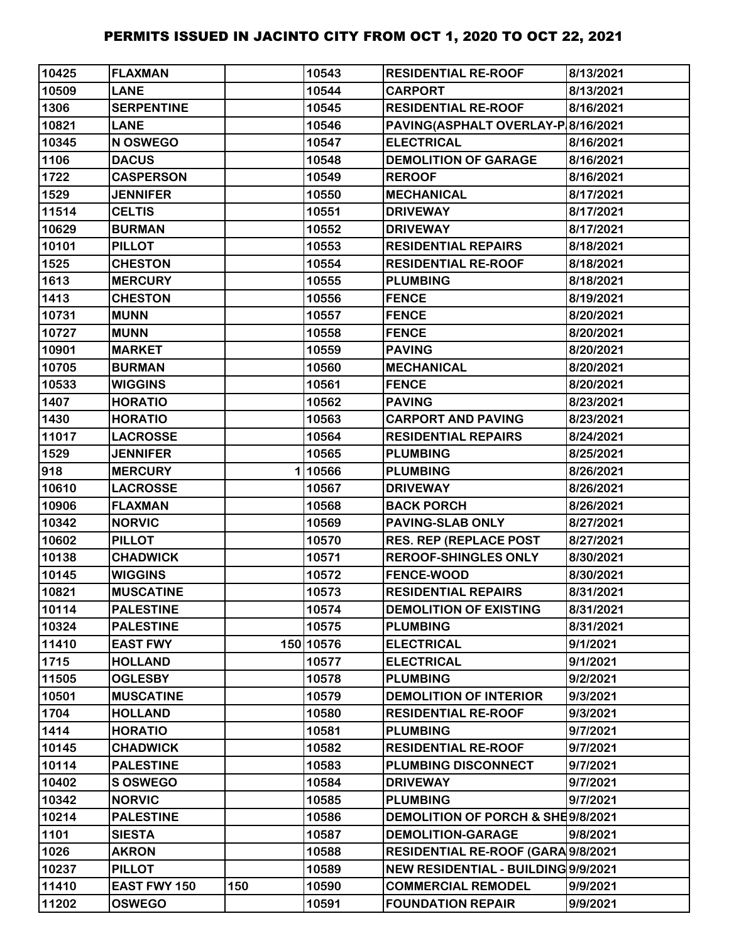| 10425 | <b>FLAXMAN</b>      |     | 10543     | <b>RESIDENTIAL RE-ROOF</b>          | 8/13/2021 |
|-------|---------------------|-----|-----------|-------------------------------------|-----------|
| 10509 | <b>LANE</b>         |     | 10544     | <b>CARPORT</b>                      | 8/13/2021 |
| 1306  | <b>SERPENTINE</b>   |     | 10545     | <b>RESIDENTIAL RE-ROOF</b>          | 8/16/2021 |
| 10821 | <b>LANE</b>         |     | 10546     | PAVING(ASPHALT OVERLAY-P 8/16/2021  |           |
| 10345 | N OSWEGO            |     | 10547     | <b>ELECTRICAL</b>                   | 8/16/2021 |
| 1106  | <b>DACUS</b>        |     | 10548     | <b>DEMOLITION OF GARAGE</b>         | 8/16/2021 |
| 1722  | <b>CASPERSON</b>    |     | 10549     | <b>REROOF</b>                       | 8/16/2021 |
| 1529  | <b>JENNIFER</b>     |     | 10550     | <b>MECHANICAL</b>                   | 8/17/2021 |
| 11514 | <b>CELTIS</b>       |     | 10551     | <b>DRIVEWAY</b>                     | 8/17/2021 |
| 10629 | <b>BURMAN</b>       |     | 10552     | <b>DRIVEWAY</b>                     | 8/17/2021 |
| 10101 | <b>PILLOT</b>       |     | 10553     | <b>RESIDENTIAL REPAIRS</b>          | 8/18/2021 |
| 1525  | <b>CHESTON</b>      |     | 10554     | <b>RESIDENTIAL RE-ROOF</b>          | 8/18/2021 |
| 1613  | <b>MERCURY</b>      |     | 10555     | <b>PLUMBING</b>                     | 8/18/2021 |
| 1413  | <b>CHESTON</b>      |     | 10556     | <b>FENCE</b>                        | 8/19/2021 |
| 10731 | <b>MUNN</b>         |     | 10557     | <b>FENCE</b>                        | 8/20/2021 |
| 10727 | <b>MUNN</b>         |     | 10558     | <b>FENCE</b>                        | 8/20/2021 |
| 10901 | <b>MARKET</b>       |     | 10559     | <b>PAVING</b>                       | 8/20/2021 |
| 10705 | <b>BURMAN</b>       |     | 10560     | <b>MECHANICAL</b>                   | 8/20/2021 |
| 10533 | <b>WIGGINS</b>      |     | 10561     | <b>FENCE</b>                        | 8/20/2021 |
| 1407  | <b>HORATIO</b>      |     | 10562     | <b>PAVING</b>                       | 8/23/2021 |
| 1430  | <b>HORATIO</b>      |     | 10563     | <b>CARPORT AND PAVING</b>           | 8/23/2021 |
| 11017 | <b>LACROSSE</b>     |     | 10564     | <b>RESIDENTIAL REPAIRS</b>          | 8/24/2021 |
| 1529  | <b>JENNIFER</b>     |     | 10565     | <b>PLUMBING</b>                     | 8/25/2021 |
| 918   | <b>MERCURY</b>      |     | 110566    | <b>PLUMBING</b>                     | 8/26/2021 |
| 10610 | <b>LACROSSE</b>     |     | 10567     | <b>DRIVEWAY</b>                     | 8/26/2021 |
| 10906 | <b>FLAXMAN</b>      |     | 10568     | <b>BACK PORCH</b>                   | 8/26/2021 |
| 10342 | <b>NORVIC</b>       |     | 10569     | <b>PAVING-SLAB ONLY</b>             | 8/27/2021 |
| 10602 | <b>PILLOT</b>       |     | 10570     | <b>RES. REP (REPLACE POST</b>       | 8/27/2021 |
| 10138 | <b>CHADWICK</b>     |     | 10571     | <b>REROOF-SHINGLES ONLY</b>         | 8/30/2021 |
| 10145 | <b>WIGGINS</b>      |     | 10572     | <b>FENCE-WOOD</b>                   | 8/30/2021 |
| 10821 | <b>MUSCATINE</b>    |     | 10573     | <b>RESIDENTIAL REPAIRS</b>          | 8/31/2021 |
| 10114 | <b>PALESTINE</b>    |     | 10574     | <b>DEMOLITION OF EXISTING</b>       | 8/31/2021 |
| 10324 | <b>PALESTINE</b>    |     | 10575     | <b>PLUMBING</b>                     | 8/31/2021 |
| 11410 | <b>EAST FWY</b>     |     | 150 10576 | <b>ELECTRICAL</b>                   | 9/1/2021  |
| 1715  | <b>HOLLAND</b>      |     | 10577     | <b>ELECTRICAL</b>                   | 9/1/2021  |
| 11505 | <b>OGLESBY</b>      |     | 10578     | <b>PLUMBING</b>                     | 9/2/2021  |
| 10501 | <b>MUSCATINE</b>    |     | 10579     | <b>DEMOLITION OF INTERIOR</b>       | 9/3/2021  |
| 1704  | <b>HOLLAND</b>      |     | 10580     | <b>RESIDENTIAL RE-ROOF</b>          | 9/3/2021  |
| 1414  | <b>HORATIO</b>      |     | 10581     | <b>PLUMBING</b>                     | 9/7/2021  |
| 10145 | <b>CHADWICK</b>     |     | 10582     | <b>RESIDENTIAL RE-ROOF</b>          | 9/7/2021  |
| 10114 | <b>PALESTINE</b>    |     | 10583     | PLUMBING DISCONNECT                 | 9/7/2021  |
| 10402 | <b>S OSWEGO</b>     |     | 10584     | <b>DRIVEWAY</b>                     | 9/7/2021  |
| 10342 | <b>NORVIC</b>       |     | 10585     | <b>PLUMBING</b>                     | 9/7/2021  |
| 10214 | <b>PALESTINE</b>    |     | 10586     | DEMOLITION OF PORCH & SHE9/8/2021   |           |
| 1101  | <b>SIESTA</b>       |     | 10587     | <b>DEMOLITION-GARAGE</b>            | 9/8/2021  |
| 1026  | <b>AKRON</b>        |     | 10588     | RESIDENTIAL RE-ROOF (GARA 9/8/2021  |           |
| 10237 | <b>PILLOT</b>       |     | 10589     | NEW RESIDENTIAL - BUILDING 9/9/2021 |           |
| 11410 | <b>EAST FWY 150</b> | 150 | 10590     | <b>COMMERCIAL REMODEL</b>           | 9/9/2021  |
| 11202 | <b>OSWEGO</b>       |     | 10591     | <b>FOUNDATION REPAIR</b>            | 9/9/2021  |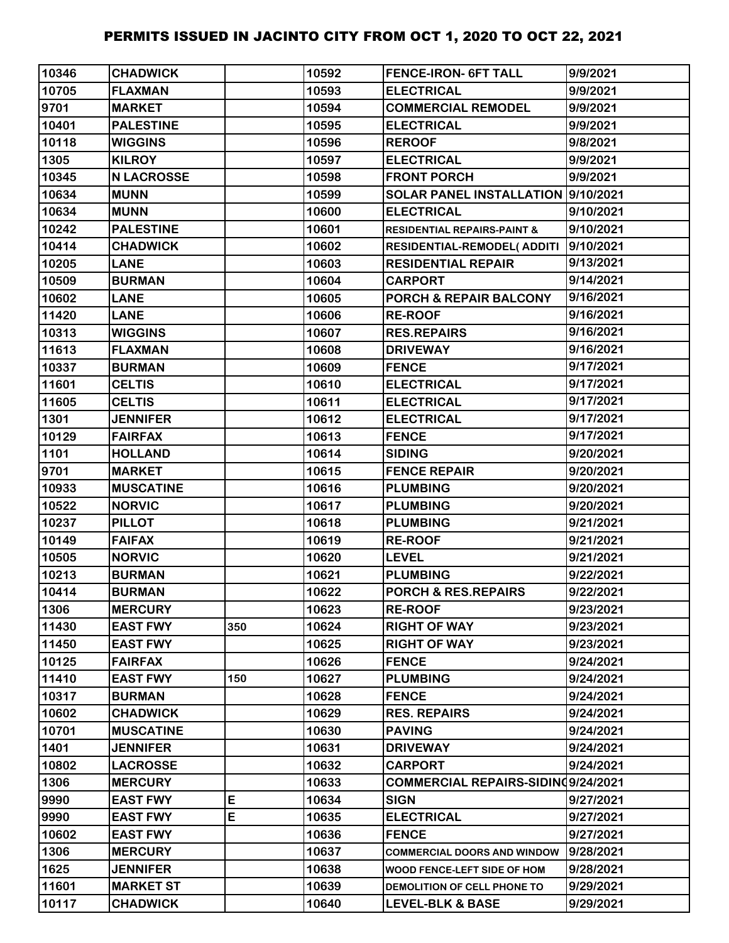| 10346 | <b>CHADWICK</b>   |     | 10592 | <b>FENCE-IRON- 6FT TALL</b>            | 9/9/2021  |
|-------|-------------------|-----|-------|----------------------------------------|-----------|
| 10705 | <b>FLAXMAN</b>    |     | 10593 | <b>ELECTRICAL</b>                      | 9/9/2021  |
| 9701  | <b>MARKET</b>     |     | 10594 | <b>COMMERCIAL REMODEL</b>              | 9/9/2021  |
| 10401 | <b>PALESTINE</b>  |     | 10595 | <b>ELECTRICAL</b>                      | 9/9/2021  |
| 10118 | <b>WIGGINS</b>    |     | 10596 | <b>REROOF</b>                          | 9/8/2021  |
| 1305  | <b>KILROY</b>     |     | 10597 | <b>ELECTRICAL</b>                      | 9/9/2021  |
| 10345 | <b>N LACROSSE</b> |     | 10598 | <b>FRONT PORCH</b>                     | 9/9/2021  |
| 10634 | <b>MUNN</b>       |     | 10599 | SOLAR PANEL INSTALLATION  9/10/2021    |           |
| 10634 | <b>MUNN</b>       |     | 10600 | <b>ELECTRICAL</b>                      | 9/10/2021 |
| 10242 | <b>PALESTINE</b>  |     | 10601 | <b>RESIDENTIAL REPAIRS-PAINT &amp;</b> | 9/10/2021 |
| 10414 | <b>CHADWICK</b>   |     | 10602 | RESIDENTIAL-REMODEL(ADDITI             | 9/10/2021 |
| 10205 | <b>LANE</b>       |     | 10603 | <b>RESIDENTIAL REPAIR</b>              | 9/13/2021 |
| 10509 | <b>BURMAN</b>     |     | 10604 | <b>CARPORT</b>                         | 9/14/2021 |
| 10602 | <b>LANE</b>       |     | 10605 | <b>PORCH &amp; REPAIR BALCONY</b>      | 9/16/2021 |
| 11420 | <b>LANE</b>       |     | 10606 | <b>RE-ROOF</b>                         | 9/16/2021 |
| 10313 | <b>WIGGINS</b>    |     | 10607 | <b>RES.REPAIRS</b>                     | 9/16/2021 |
| 11613 | <b>FLAXMAN</b>    |     | 10608 | <b>DRIVEWAY</b>                        | 9/16/2021 |
| 10337 | <b>BURMAN</b>     |     | 10609 | <b>FENCE</b>                           | 9/17/2021 |
| 11601 | <b>CELTIS</b>     |     | 10610 | <b>ELECTRICAL</b>                      | 9/17/2021 |
| 11605 | <b>CELTIS</b>     |     | 10611 | <b>ELECTRICAL</b>                      | 9/17/2021 |
| 1301  | <b>JENNIFER</b>   |     | 10612 | <b>ELECTRICAL</b>                      | 9/17/2021 |
| 10129 | <b>FAIRFAX</b>    |     | 10613 | <b>FENCE</b>                           | 9/17/2021 |
| 1101  | <b>HOLLAND</b>    |     | 10614 | <b>SIDING</b>                          | 9/20/2021 |
| 9701  | <b>MARKET</b>     |     | 10615 | <b>FENCE REPAIR</b>                    | 9/20/2021 |
| 10933 | <b>MUSCATINE</b>  |     | 10616 | <b>PLUMBING</b>                        | 9/20/2021 |
| 10522 | <b>NORVIC</b>     |     | 10617 | <b>PLUMBING</b>                        | 9/20/2021 |
| 10237 | <b>PILLOT</b>     |     | 10618 | <b>PLUMBING</b>                        | 9/21/2021 |
| 10149 | <b>FAIFAX</b>     |     | 10619 | <b>RE-ROOF</b>                         | 9/21/2021 |
| 10505 | <b>NORVIC</b>     |     | 10620 | <b>LEVEL</b>                           | 9/21/2021 |
| 10213 | <b>BURMAN</b>     |     | 10621 | <b>PLUMBING</b>                        | 9/22/2021 |
| 10414 | <b>BURMAN</b>     |     | 10622 | PORCH & RES.REPAIRS                    | 9/22/2021 |
| 1306  | <b>MERCURY</b>    |     | 10623 | <b>RE-ROOF</b>                         | 9/23/2021 |
| 11430 | <b>EAST FWY</b>   | 350 | 10624 | <b>RIGHT OF WAY</b>                    | 9/23/2021 |
| 11450 | <b>EAST FWY</b>   |     | 10625 | <b>RIGHT OF WAY</b>                    | 9/23/2021 |
| 10125 | <b>FAIRFAX</b>    |     | 10626 | <b>FENCE</b>                           | 9/24/2021 |
| 11410 | <b>EAST FWY</b>   | 150 | 10627 | <b>PLUMBING</b>                        | 9/24/2021 |
| 10317 | <b>BURMAN</b>     |     | 10628 | <b>FENCE</b>                           | 9/24/2021 |
| 10602 | <b>CHADWICK</b>   |     | 10629 | <b>RES. REPAIRS</b>                    | 9/24/2021 |
| 10701 | <b>MUSCATINE</b>  |     | 10630 | <b>PAVING</b>                          | 9/24/2021 |
| 1401  | <b>JENNIFER</b>   |     | 10631 | <b>DRIVEWAY</b>                        | 9/24/2021 |
| 10802 | <b>LACROSSE</b>   |     | 10632 | <b>CARPORT</b>                         | 9/24/2021 |
| 1306  | <b>MERCURY</b>    |     | 10633 | COMMERCIAL REPAIRS-SIDINQ9/24/2021     |           |
| 9990  | <b>EAST FWY</b>   | E   | 10634 | <b>SIGN</b>                            | 9/27/2021 |
| 9990  | <b>EAST FWY</b>   | E   | 10635 | <b>ELECTRICAL</b>                      | 9/27/2021 |
| 10602 | <b>EAST FWY</b>   |     | 10636 | <b>FENCE</b>                           | 9/27/2021 |
| 1306  | <b>MERCURY</b>    |     | 10637 | <b>COMMERCIAL DOORS AND WINDOW</b>     | 9/28/2021 |
| 1625  | <b>JENNIFER</b>   |     | 10638 | WOOD FENCE-LEFT SIDE OF HOM            | 9/28/2021 |
| 11601 | <b>MARKET ST</b>  |     | 10639 | DEMOLITION OF CELL PHONE TO            | 9/29/2021 |
| 10117 | <b>CHADWICK</b>   |     | 10640 | <b>LEVEL-BLK &amp; BASE</b>            | 9/29/2021 |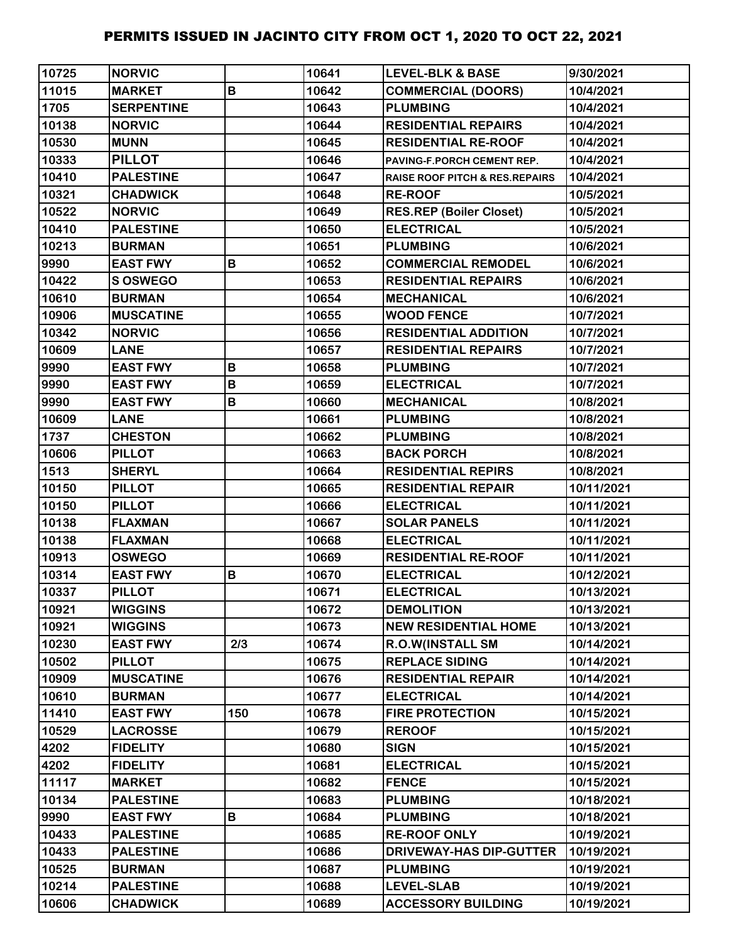| 10725 | <b>NORVIC</b>     |             | 10641 | <b>LEVEL-BLK &amp; BASE</b>               | 9/30/2021  |
|-------|-------------------|-------------|-------|-------------------------------------------|------------|
| 11015 | <b>MARKET</b>     | B           | 10642 | <b>COMMERCIAL (DOORS)</b>                 | 10/4/2021  |
| 1705  | <b>SERPENTINE</b> |             | 10643 | <b>PLUMBING</b>                           | 10/4/2021  |
| 10138 | <b>NORVIC</b>     |             | 10644 | <b>RESIDENTIAL REPAIRS</b>                | 10/4/2021  |
| 10530 | <b>MUNN</b>       |             | 10645 | <b>RESIDENTIAL RE-ROOF</b>                | 10/4/2021  |
| 10333 | <b>PILLOT</b>     |             | 10646 | PAVING-F.PORCH CEMENT REP.                | 10/4/2021  |
| 10410 | <b>PALESTINE</b>  |             | 10647 | <b>RAISE ROOF PITCH &amp; RES.REPAIRS</b> | 10/4/2021  |
| 10321 | <b>CHADWICK</b>   |             | 10648 | <b>RE-ROOF</b>                            | 10/5/2021  |
| 10522 | <b>NORVIC</b>     |             | 10649 | <b>RES.REP (Boiler Closet)</b>            | 10/5/2021  |
| 10410 | <b>PALESTINE</b>  |             | 10650 | <b>ELECTRICAL</b>                         | 10/5/2021  |
| 10213 | <b>BURMAN</b>     |             | 10651 | <b>PLUMBING</b>                           | 10/6/2021  |
| 9990  | <b>EAST FWY</b>   | B           | 10652 | <b>COMMERCIAL REMODEL</b>                 | 10/6/2021  |
| 10422 | S OSWEGO          |             | 10653 | <b>RESIDENTIAL REPAIRS</b>                | 10/6/2021  |
| 10610 | <b>BURMAN</b>     |             | 10654 | <b>MECHANICAL</b>                         | 10/6/2021  |
| 10906 | <b>MUSCATINE</b>  |             | 10655 | <b>WOOD FENCE</b>                         | 10/7/2021  |
| 10342 | <b>NORVIC</b>     |             | 10656 | <b>RESIDENTIAL ADDITION</b>               | 10/7/2021  |
| 10609 | <b>LANE</b>       |             | 10657 | <b>RESIDENTIAL REPAIRS</b>                | 10/7/2021  |
| 9990  | <b>EAST FWY</b>   | B           | 10658 | <b>PLUMBING</b>                           | 10/7/2021  |
| 9990  | <b>EAST FWY</b>   | $\mathsf B$ | 10659 | <b>ELECTRICAL</b>                         | 10/7/2021  |
| 9990  | <b>EAST FWY</b>   | B           | 10660 | <b>MECHANICAL</b>                         | 10/8/2021  |
| 10609 | <b>LANE</b>       |             | 10661 | <b>PLUMBING</b>                           | 10/8/2021  |
| 1737  | <b>CHESTON</b>    |             | 10662 | <b>PLUMBING</b>                           | 10/8/2021  |
| 10606 | <b>PILLOT</b>     |             | 10663 | <b>BACK PORCH</b>                         | 10/8/2021  |
| 1513  | <b>SHERYL</b>     |             | 10664 | <b>RESIDENTIAL REPIRS</b>                 | 10/8/2021  |
| 10150 | <b>PILLOT</b>     |             | 10665 | <b>RESIDENTIAL REPAIR</b>                 | 10/11/2021 |
| 10150 | <b>PILLOT</b>     |             | 10666 | <b>ELECTRICAL</b>                         | 10/11/2021 |
| 10138 | <b>FLAXMAN</b>    |             | 10667 | <b>SOLAR PANELS</b>                       | 10/11/2021 |
| 10138 | <b>FLAXMAN</b>    |             | 10668 | <b>ELECTRICAL</b>                         | 10/11/2021 |
| 10913 | <b>OSWEGO</b>     |             | 10669 | <b>RESIDENTIAL RE-ROOF</b>                | 10/11/2021 |
| 10314 | <b>EAST FWY</b>   | B           | 10670 | <b>ELECTRICAL</b>                         | 10/12/2021 |
| 10337 | <b>PILLOT</b>     |             | 10671 | <b>ELECTRICAL</b>                         | 10/13/2021 |
| 10921 | <b>WIGGINS</b>    |             | 10672 | <b>DEMOLITION</b>                         | 10/13/2021 |
| 10921 | <b>WIGGINS</b>    |             | 10673 | <b>NEW RESIDENTIAL HOME</b>               | 10/13/2021 |
| 10230 | <b>EAST FWY</b>   | 2/3         | 10674 | <b>R.O.W(INSTALL SM</b>                   | 10/14/2021 |
| 10502 | <b>PILLOT</b>     |             | 10675 | <b>REPLACE SIDING</b>                     | 10/14/2021 |
| 10909 | <b>MUSCATINE</b>  |             | 10676 | <b>RESIDENTIAL REPAIR</b>                 | 10/14/2021 |
| 10610 | <b>BURMAN</b>     |             | 10677 | <b>ELECTRICAL</b>                         | 10/14/2021 |
| 11410 | <b>EAST FWY</b>   | 150         | 10678 | <b>FIRE PROTECTION</b>                    | 10/15/2021 |
| 10529 | <b>LACROSSE</b>   |             | 10679 | <b>REROOF</b>                             | 10/15/2021 |
| 4202  | <b>FIDELITY</b>   |             | 10680 | <b>SIGN</b>                               | 10/15/2021 |
| 4202  | <b>FIDELITY</b>   |             | 10681 | <b>ELECTRICAL</b>                         | 10/15/2021 |
| 11117 | <b>MARKET</b>     |             | 10682 | <b>FENCE</b>                              | 10/15/2021 |
| 10134 | <b>PALESTINE</b>  |             | 10683 | <b>PLUMBING</b>                           | 10/18/2021 |
| 9990  | <b>EAST FWY</b>   | B           | 10684 | <b>PLUMBING</b>                           | 10/18/2021 |
| 10433 | <b>PALESTINE</b>  |             | 10685 | <b>RE-ROOF ONLY</b>                       | 10/19/2021 |
| 10433 | <b>PALESTINE</b>  |             | 10686 | <b>DRIVEWAY-HAS DIP-GUTTER</b>            | 10/19/2021 |
| 10525 | <b>BURMAN</b>     |             | 10687 | <b>PLUMBING</b>                           | 10/19/2021 |
| 10214 | <b>PALESTINE</b>  |             | 10688 | <b>LEVEL-SLAB</b>                         | 10/19/2021 |
| 10606 | <b>CHADWICK</b>   |             | 10689 | <b>ACCESSORY BUILDING</b>                 | 10/19/2021 |